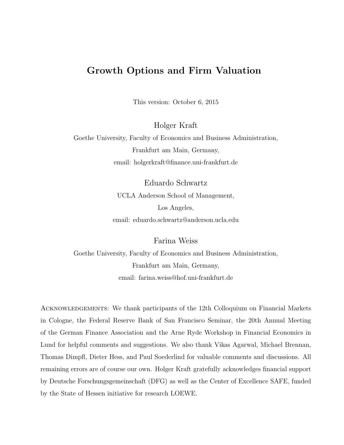## Growth Options and Firm Valuation

This version: October 6, 2015

Holger Kraft

Goethe University, Faculty of Economics and Business Administration, Frankfurt am Main, Germany, email: holgerkraft@finance.uni-frankfurt.de

> Eduardo Schwartz UCLA Anderson School of Management, Los Angeles, email: eduardo.schwartz@anderson.ucla.edu

> > Farina Weiss

Goethe University, Faculty of Economics and Business Administration, Frankfurt am Main, Germany, email: farina.weiss@hof.uni-frankfurt.de

Acknowledgements: We thank participants of the 12th Colloquium on Financial Markets in Cologne, the Federal Reserve Bank of San Francisco Seminar, the 20th Annual Meeting of the German Finance Association and the Arne Ryde Workshop in Financial Economics in Lund for helpful comments and suggestions. We also thank Vikas Agarwal, Michael Brennan, Thomas Dimpfl, Dieter Hess, and Paul Soederlind for valuable comments and discussions. All remaining errors are of course our own. Holger Kraft gratefully acknowledges financial support by Deutsche Forschungsgemeinschaft (DFG) as well as the Center of Excellence SAFE, funded by the State of Hessen initiative for research LOEWE.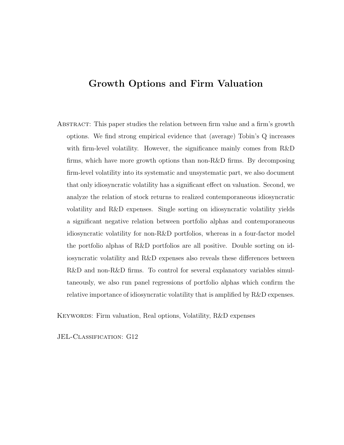# Growth Options and Firm Valuation

Abstract: This paper studies the relation between firm value and a firm's growth options. We find strong empirical evidence that (average) Tobin's Q increases with firm-level volatility. However, the significance mainly comes from R&D firms, which have more growth options than non-R&D firms. By decomposing firm-level volatility into its systematic and unsystematic part, we also document that only idiosyncratic volatility has a significant effect on valuation. Second, we analyze the relation of stock returns to realized contemporaneous idiosyncratic volatility and R&D expenses. Single sorting on idiosyncratic volatility yields a significant negative relation between portfolio alphas and contemporaneous idiosyncratic volatility for non-R&D portfolios, whereas in a four-factor model the portfolio alphas of R&D portfolios are all positive. Double sorting on idiosyncratic volatility and  $R\&D$  expenses also reveals these differences between R&D and non-R&D firms. To control for several explanatory variables simultaneously, we also run panel regressions of portfolio alphas which confirm the relative importance of idiosyncratic volatility that is amplified by R&D expenses.

Keywords: Firm valuation, Real options, Volatility, R&D expenses

JEL-CLASSIFICATION: G12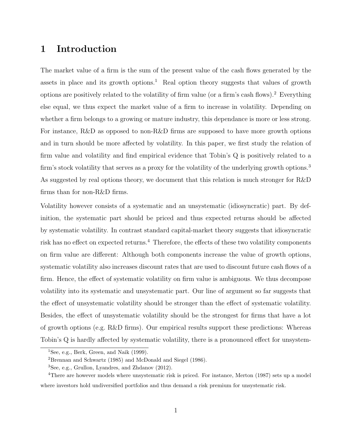# 1 Introduction

The market value of a firm is the sum of the present value of the cash flows generated by the assets in place and its growth options.<sup>1</sup> Real option theory suggests that values of growth options are positively related to the volatility of firm value (or a firm's cash flows).<sup>2</sup> Everything else equal, we thus expect the market value of a firm to increase in volatility. Depending on whether a firm belongs to a growing or mature industry, this dependance is more or less strong. For instance, R&D as opposed to non-R&D firms are supposed to have more growth options and in turn should be more affected by volatility. In this paper, we first study the relation of firm value and volatility and find empirical evidence that Tobin's Q is positively related to a firm's stock volatility that serves as a proxy for the volatility of the underlying growth options.<sup>3</sup> As suggested by real options theory, we document that this relation is much stronger for R&D firms than for non-R&D firms.

Volatility however consists of a systematic and an unsystematic (idiosyncratic) part. By definition, the systematic part should be priced and thus expected returns should be affected by systematic volatility. In contrast standard capital-market theory suggests that idiosyncratic risk has no effect on expected returns.<sup>4</sup> Therefore, the effects of these two volatility components on firm value are different: Although both components increase the value of growth options, systematic volatility also increases discount rates that are used to discount future cash flows of a firm. Hence, the effect of systematic volatility on firm value is ambiguous. We thus decompose volatility into its systematic and unsystematic part. Our line of argument so far suggests that the effect of unsystematic volatility should be stronger than the effect of systematic volatility. Besides, the effect of unsystematic volatility should be the strongest for firms that have a lot of growth options (e.g. R&D firms). Our empirical results support these predictions: Whereas Tobin's Q is hardly affected by systematic volatility, there is a pronounced effect for unsystem-

<sup>&</sup>lt;sup>1</sup>See, e.g., Berk, Green, and Naik  $(1999)$ .

<sup>2</sup>Brennan and Schwartz (1985) and McDonald and Siegel (1986).

<sup>3</sup>See, e.g., Grullon, Lyandres, and Zhdanov (2012).

<sup>&</sup>lt;sup>4</sup>There are however models where unsystematic risk is priced. For instance, Merton (1987) sets up a model where investors hold undiversified portfolios and thus demand a risk premium for unsystematic risk.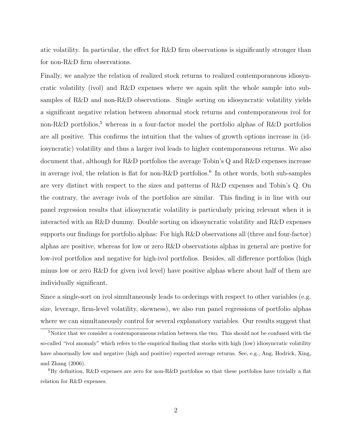atic volatility. In particular, the effect for R&D firm observations is significantly stronger than for non-R&D firm observations.

Finally, we analyze the relation of realized stock returns to realized contemporaneous idiosyncratic volatility (ivol) and R&D expenses where we again split the whole sample into subsamples of R&D and non-R&D observations. Single sorting on idiosyncratic volatility yields a significant negative relation between abnormal stock returns and contemporaneous ivol for non-R&D portfolios,<sup>5</sup> whereas in a four-factor model the portfolio alphas of R&D portfolios are all positive. This confirms the intuition that the values of growth options increase in (idiosyncratic) volatility and thus a larger ivol leads to higher contemporaneous returns. We also document that, although for R&D portfolios the average Tobin's Q and R&D expenses increase in average ivol, the relation is flat for non-R&D portfolios.<sup>6</sup> In other words, both sub-samples are very distinct with respect to the sizes and patterns of R&D expenses and Tobin's Q. On the contrary, the average ivols of the portfolios are similar. This finding is in line with our panel regression results that idiosyncratic volatility is particularly pricing relevant when it is interacted with an R&D dummy. Double sorting on idiosyncratic volatility and R&D expenses supports our findings for portfolio alphas: For high R&D observations all (three and four-factor) alphas are positive, whereas for low or zero R&D observations alphas in general are postive for low-ivol portfolios and negative for high-ivol portfolios. Besides, all difference portfolios (high minus low or zero R&D for given ivol level) have positive alphas where about half of them are individually significant.

Since a single-sort on ivol simultaneously leads to orderings with respect to other variables (e.g. size, leverage, firm-level volatility, skewness), we also run panel regressions of portfolio alphas where we can simultaneously control for several explanatory variables. Our results suggest that

<sup>5</sup>Notice that we consider a contemporaneous relation between the two. This should not be confused with the so-called "ivol anomaly" which refers to the empirical finding that stocks with high (low) idiosyncratic volatility have abnormally low and negative (high and positive) expected average returns. See, e.g., Ang, Hodrick, Xing, and Zhang (2006).

 ${}^{6}$ By definition, R&D expenses are zero for non-R&D portfolios so that these portfolios have trivially a flat relation for R&D expenses.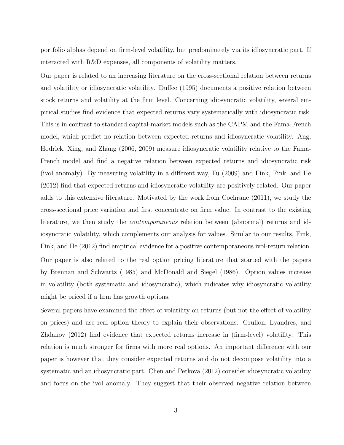portfolio alphas depend on firm-level volatility, but predominately via its idiosyncratic part. If interacted with R&D expenses, all components of volatility matters.

Our paper is related to an increasing literature on the cross-sectional relation between returns and volatility or idiosyncratic volatility. Duffee (1995) documents a positive relation between stock returns and volatility at the firm level. Concerning idiosyncratic volatility, several empirical studies find evidence that expected returns vary systematically with idiosyncratic risk. This is in contrast to standard capital-market models such as the CAPM and the Fama-French model, which predict no relation between expected returns and idiosyncratic volatility. Ang, Hodrick, Xing, and Zhang (2006, 2009) measure idiosyncratic volatility relative to the Fama-French model and find a negative relation between expected returns and idiosyncratic risk (ivol anomaly). By measuring volatility in a different way, Fu  $(2009)$  and Fink, Fink, and He (2012) find that expected returns and idiosyncratic volatility are positively related. Our paper adds to this extensive literature. Motivated by the work from Cochrane (2011), we study the cross-sectional price variation and first concentrate on firm value. In contrast to the existing literature, we then study the *contemporaneous* relation between (abnormal) returns and idiosyncratic volatility, which complements our analysis for values. Similar to our results, Fink, Fink, and He (2012) find empirical evidence for a positive contemporaneous ivol-return relation. Our paper is also related to the real option pricing literature that started with the papers by Brennan and Schwartz (1985) and McDonald and Siegel (1986). Option values increase in volatility (both systematic and idiosyncratic), which indicates why idiosyncratic volatility might be priced if a firm has growth options.

Several papers have examined the effect of volatility on returns (but not the effect of volatility on prices) and use real option theory to explain their observations. Grullon, Lyandres, and Zhdanov (2012) find evidence that expected returns increase in (firm-level) volatility. This relation is much stronger for firms with more real options. An important difference with our paper is however that they consider expected returns and do not decompose volatility into a systematic and an idiosyncratic part. Chen and Petkova (2012) consider idiosyncratic volatility and focus on the ivol anomaly. They suggest that their observed negative relation between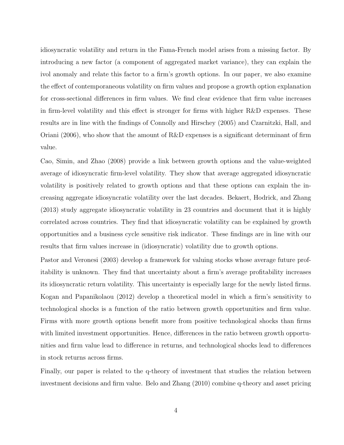idiosyncratic volatility and return in the Fama-French model arises from a missing factor. By introducing a new factor (a component of aggregated market variance), they can explain the ivol anomaly and relate this factor to a firm's growth options. In our paper, we also examine the effect of contemporaneous volatility on firm values and propose a growth option explanation for cross-sectional differences in firm values. We find clear evidence that firm value increases in firm-level volatility and this effect is stronger for firms with higher  $R\&D$  expenses. These results are in line with the findings of Connolly and Hirschey (2005) and Czarnitzki, Hall, and Oriani (2006), who show that the amount of R&D expenses is a significant determinant of firm value.

Cao, Simin, and Zhao (2008) provide a link between growth options and the value-weighted average of idiosyncratic firm-level volatility. They show that average aggregated idiosyncratic volatility is positively related to growth options and that these options can explain the increasing aggregate idiosyncratic volatility over the last decades. Bekaert, Hodrick, and Zhang (2013) study aggregate idiosyncratic volatility in 23 countries and document that it is highly correlated across countries. They find that idiosyncratic volatility can be explained by growth opportunities and a business cycle sensitive risk indicator. These findings are in line with our results that firm values increase in (idiosyncratic) volatility due to growth options.

Pastor and Veronesi (2003) develop a framework for valuing stocks whose average future profitability is unknown. They find that uncertainty about a firm's average profitability increases its idiosyncratic return volatility. This uncertainty is especially large for the newly listed firms. Kogan and Papanikolaou (2012) develop a theoretical model in which a firm's sensitivity to technological shocks is a function of the ratio between growth opportunities and firm value. Firms with more growth options benefit more from positive technological shocks than firms with limited investment opportunities. Hence, differences in the ratio between growth opportunities and firm value lead to difference in returns, and technological shocks lead to differences in stock returns across firms.

Finally, our paper is related to the q-theory of investment that studies the relation between investment decisions and firm value. Belo and Zhang (2010) combine q-theory and asset pricing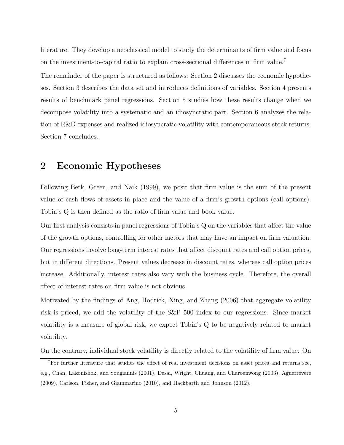literature. They develop a neoclassical model to study the determinants of firm value and focus on the investment-to-capital ratio to explain cross-sectional differences in firm value.<sup>7</sup>

The remainder of the paper is structured as follows: Section 2 discusses the economic hypotheses. Section 3 describes the data set and introduces definitions of variables. Section 4 presents results of benchmark panel regressions. Section 5 studies how these results change when we decompose volatility into a systematic and an idiosyncratic part. Section 6 analyzes the relation of R&D expenses and realized idiosyncratic volatility with contemporaneous stock returns. Section 7 concludes.

## 2 Economic Hypotheses

Following Berk, Green, and Naik (1999), we posit that firm value is the sum of the present value of cash flows of assets in place and the value of a firm's growth options (call options). Tobin's Q is then defined as the ratio of firm value and book value.

Our first analysis consists in panel regressions of Tobin's Q on the variables that affect the value of the growth options, controlling for other factors that may have an impact on firm valuation. Our regressions involve long-term interest rates that affect discount rates and call option prices, but in different directions. Present values decrease in discount rates, whereas call option prices increase. Additionally, interest rates also vary with the business cycle. Therefore, the overall effect of interest rates on firm value is not obvious.

Motivated by the findings of Ang, Hodrick, Xing, and Zhang (2006) that aggregate volatility risk is priced, we add the volatility of the S&P 500 index to our regressions. Since market volatility is a measure of global risk, we expect Tobin's Q to be negatively related to market volatility.

On the contrary, individual stock volatility is directly related to the volatility of firm value. On

<sup>&</sup>lt;sup>7</sup>For further literature that studies the effect of real investment decisions on asset prices and returns see, e.g., Chan, Lakonishok, and Sougiannis (2001), Desai, Wright, Chuang, and Charoenwong (2003), Aguerrevere (2009), Carlson, Fisher, and Giammarino (2010), and Hackbarth and Johnson (2012).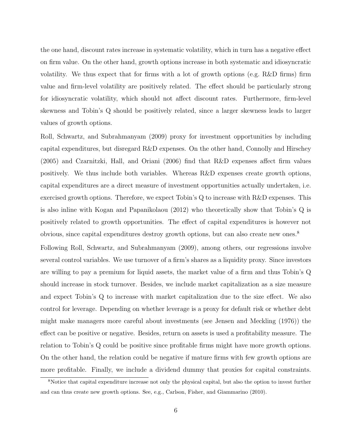the one hand, discount rates increase in systematic volatility, which in turn has a negative effect on firm value. On the other hand, growth options increase in both systematic and idiosyncratic volatility. We thus expect that for firms with a lot of growth options (e.g. R&D firms) firm value and firm-level volatility are positively related. The effect should be particularly strong for idiosyncratic volatility, which should not affect discount rates. Furthermore, firm-level skewness and Tobin's Q should be positively related, since a larger skewness leads to larger values of growth options.

Roll, Schwartz, and Subrahmanyam (2009) proxy for investment opportunities by including capital expenditures, but disregard R&D expenses. On the other hand, Connolly and Hirschey  $(2005)$  and Czarnitzki, Hall, and Oriani  $(2006)$  find that R&D expenses affect firm values positively. We thus include both variables. Whereas R&D expenses create growth options, capital expenditures are a direct measure of investment opportunities actually undertaken, i.e. exercised growth options. Therefore, we expect Tobin's Q to increase with R&D expenses. This is also inline with Kogan and Papanikolaou (2012) who theoretically show that Tobin's Q is positively related to growth opportunities. The effect of capital expenditures is however not obvious, since capital expenditures destroy growth options, but can also create new ones.<sup>8</sup>

Following Roll, Schwartz, and Subrahmanyam (2009), among others, our regressions involve several control variables. We use turnover of a firm's shares as a liquidity proxy. Since investors are willing to pay a premium for liquid assets, the market value of a firm and thus Tobin's Q should increase in stock turnover. Besides, we include market capitalization as a size measure and expect Tobin's Q to increase with market capitalization due to the size effect. We also control for leverage. Depending on whether leverage is a proxy for default risk or whether debt might make managers more careful about investments (see Jensen and Meckling (1976)) the effect can be positive or negative. Besides, return on assets is used a profitability measure. The relation to Tobin's Q could be positive since profitable firms might have more growth options. On the other hand, the relation could be negative if mature firms with few growth options are more profitable. Finally, we include a dividend dummy that proxies for capital constraints.

<sup>8</sup>Notice that capital expenditure increase not only the physical capital, but also the option to invest further and can thus create new growth options. See, e.g., Carlson, Fisher, and Giammarino (2010).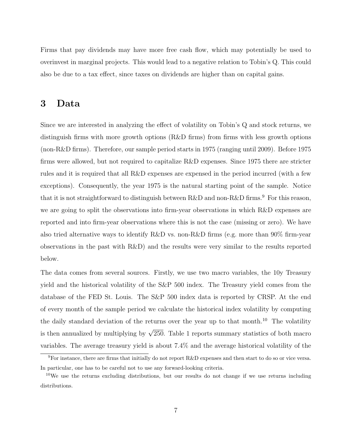Firms that pay dividends may have more free cash flow, which may potentially be used to overinvest in marginal projects. This would lead to a negative relation to Tobin's Q. This could also be due to a tax effect, since taxes on dividends are higher than on capital gains.

### 3 Data

Since we are interested in analyzing the effect of volatility on Tobin's Q and stock returns, we distinguish firms with more growth options (R&D firms) from firms with less growth options (non-R&D firms). Therefore, our sample period starts in 1975 (ranging until 2009). Before 1975 firms were allowed, but not required to capitalize R&D expenses. Since 1975 there are stricter rules and it is required that all R&D expenses are expensed in the period incurred (with a few exceptions). Consequently, the year 1975 is the natural starting point of the sample. Notice that it is not straightforward to distinguish between  $R\&D$  and non- $R\&D$  firms.<sup>9</sup> For this reason, we are going to split the observations into firm-year observations in which R&D expenses are reported and into firm-year observations where this is not the case (missing or zero). We have also tried alternative ways to identify R&D vs. non-R&D firms (e.g. more than 90% firm-year observations in the past with R&D) and the results were very similar to the results reported below.

The data comes from several sources. Firstly, we use two macro variables, the 10y Treasury yield and the historical volatility of the S&P 500 index. The Treasury yield comes from the database of the FED St. Louis. The S&P 500 index data is reported by CRSP. At the end of every month of the sample period we calculate the historical index volatility by computing the daily standard deviation of the returns over the year up to that month.<sup>10</sup> The volatility is then annualized by multiplying by  $\sqrt{250}$ . Table 1 reports summary statistics of both macro variables. The average treasury yield is about 7.4% and the average historical volatility of the

<sup>&</sup>lt;sup>9</sup>For instance, there are firms that initially do not report R&D expenses and then start to do so or vice versa. In particular, one has to be careful not to use any forward-looking criteria.

<sup>&</sup>lt;sup>10</sup>We use the returns excluding distributions, but our results do not change if we use returns including distributions.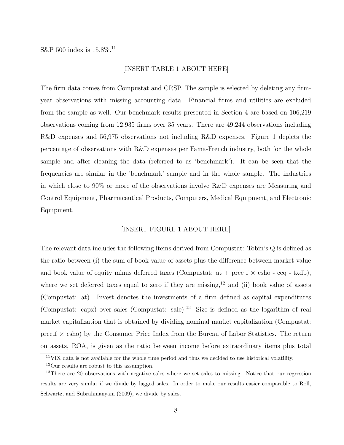#### [INSERT TABLE 1 ABOUT HERE]

The firm data comes from Compustat and CRSP. The sample is selected by deleting any firmyear observations with missing accounting data. Financial firms and utilities are excluded from the sample as well. Our benchmark results presented in Section 4 are based on 106,219 observations coming from 12,935 firms over 35 years. There are 49,244 observations including R&D expenses and 56,975 observations not including R&D expenses. Figure 1 depicts the percentage of observations with R&D expenses per Fama-French industry, both for the whole sample and after cleaning the data (referred to as 'benchmark'). It can be seen that the frequencies are similar in the 'benchmark' sample and in the whole sample. The industries in which close to 90% or more of the observations involve R&D expenses are Measuring and Control Equipment, Pharmaceutical Products, Computers, Medical Equipment, and Electronic Equipment.

#### [INSERT FIGURE 1 ABOUT HERE]

The relevant data includes the following items derived from Compustat: Tobin's Q is defined as the ratio between (i) the sum of book value of assets plus the difference between market value and book value of equity minus deferred taxes (Compustat: at + prcc  $f \times$  csho - ceq - txdb), where we set deferred taxes equal to zero if they are missing,<sup>12</sup> and (ii) book value of assets (Compustat: at). Invest denotes the investments of a firm defined as capital expenditures (Compustat: capx) over sales (Compustat: sale).<sup>13</sup> Size is defined as the logarithm of real market capitalization that is obtained by dividing nominal market capitalization (Compustat: prcc  $f \times$  csho) by the Consumer Price Index from the Bureau of Labor Statistics. The return on assets, ROA, is given as the ratio between income before extraordinary items plus total

<sup>11</sup>VIX data is not available for the whole time period and thus we decided to use historical volatility.

<sup>12</sup>Our results are robust to this assumption.

<sup>&</sup>lt;sup>13</sup>There are 20 observations with negative sales where we set sales to missing. Notice that our regression results are very similar if we divide by lagged sales. In order to make our results easier comparable to Roll, Schwartz, and Subrahmanyam (2009), we divide by sales.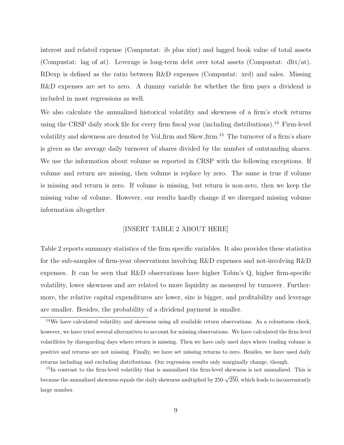interest and related expense (Compustat: ib plus xint) and lagged book value of total assets (Compustat: lag of at). Leverage is long-term debt over total assets (Compustat:  $\frac{d}{dt}(t)$ . RDexp is defined as the ratio between R&D expenses (Compustat: xrd) and sales. Missing R&D expenses are set to zero. A dummy variable for whether the firm pays a dividend is included in most regressions as well.

We also calculate the annualized historical volatility and skewness of a firm's stock returns using the CRSP daily stock file for every firm fiscal year (including distributions).<sup>14</sup> Firm-level volatility and skewness are denoted by Vol firm and Skew firm.<sup>15</sup> The turnover of a firm's share is given as the average daily turnover of shares divided by the number of outstanding shares. We use the information about volume as reported in CRSP with the following exceptions. If volume and return are missing, then volume is replace by zero. The same is true if volume is missing and return is zero. If volume is missing, but return is non-zero, then we keep the missing value of volume. However, our results hardly change if we disregard missing volume information altogether.

#### [INSERT TABLE 2 ABOUT HERE]

Table 2 reports summary statistics of the firm specific variables. It also provides these statistics for the sub-samples of firm-year observations involving R&D expenses and not-involving R&D expenses. It can be seen that R&D observations have higher Tobin's Q, higher firm-specific volatility, lower skewness and are related to more liquidity as measured by turnover. Furthermore, the relative capital expenditures are lower, size is bigger, and profitability and leverage are smaller. Besides, the probability of a dividend payment is smaller.

<sup>14</sup>We have calculated volatility and skewness using all available return observations. As a robustness check, however, we have tried several alternatives to account for missing observations. We have calculated the firm-level volatilities by disregarding days where return is missing. Then we have only used days where trading volume is positive and returns are not missing. Finally, we have set missing returns to zero. Besides, we have used daily returns including and excluding distributions. Our regression results only marginally change, though.

 $15$ In contrast to the firm-level volatility that is annualized the firm-level skewness is not annualized. This is because the annualized skewness equals the daily skewness multiplied by  $250\cdot\sqrt{250}$ , which leads to inconveniently large number.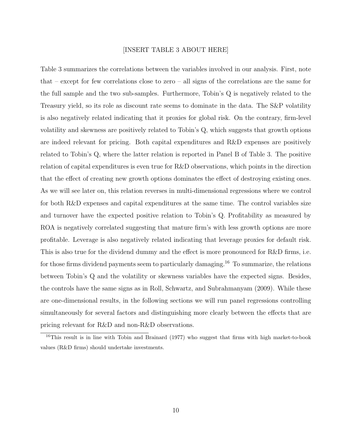#### [INSERT TABLE 3 ABOUT HERE]

Table 3 summarizes the correlations between the variables involved in our analysis. First, note that – except for few correlations close to zero – all signs of the correlations are the same for the full sample and the two sub-samples. Furthermore, Tobin's Q is negatively related to the Treasury yield, so its role as discount rate seems to dominate in the data. The S&P volatility is also negatively related indicating that it proxies for global risk. On the contrary, firm-level volatility and skewness are positively related to Tobin's Q, which suggests that growth options are indeed relevant for pricing. Both capital expenditures and R&D expenses are positively related to Tobin's Q, where the latter relation is reported in Panel B of Table 3. The positive relation of capital expenditures is even true for R&D observations, which points in the direction that the effect of creating new growth options dominates the effect of destroying existing ones. As we will see later on, this relation reverses in multi-dimensional regressions where we control for both R&D expenses and capital expenditures at the same time. The control variables size and turnover have the expected positive relation to Tobin's Q. Profitability as measured by ROA is negatively correlated suggesting that mature firm's with less growth options are more profitable. Leverage is also negatively related indicating that leverage proxies for default risk. This is also true for the dividend dummy and the effect is more pronounced for R&D firms, i.e. for those firms dividend payments seem to particularly damaging.<sup>16</sup> To summarize, the relations between Tobin's Q and the volatility or skewness variables have the expected signs. Besides, the controls have the same signs as in Roll, Schwartz, and Subrahmanyam (2009). While these are one-dimensional results, in the following sections we will run panel regressions controlling simultaneously for several factors and distinguishing more clearly between the effects that are pricing relevant for R&D and non-R&D observations.

<sup>16</sup>This result is in line with Tobin and Brainard (1977) who suggest that firms with high market-to-book values (R&D firms) should undertake investments.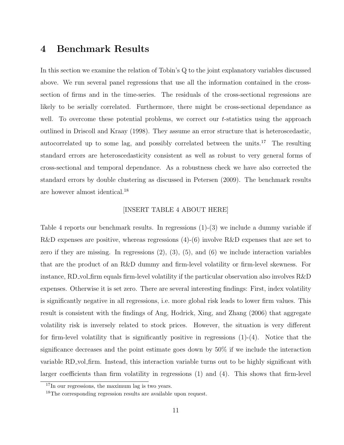### 4 Benchmark Results

In this section we examine the relation of Tobin's Q to the joint explanatory variables discussed above. We run several panel regressions that use all the information contained in the crosssection of firms and in the time-series. The residuals of the cross-sectional regressions are likely to be serially correlated. Furthermore, there might be cross-sectional dependance as well. To overcome these potential problems, we correct our *t*-statistics using the approach outlined in Driscoll and Kraay (1998). They assume an error structure that is heteroscedastic, autocorrelated up to some lag, and possibly correlated between the units.<sup>17</sup> The resulting standard errors are heteroscedasticity consistent as well as robust to very general forms of cross-sectional and temporal dependance. As a robustness check we have also corrected the standard errors by double clustering as discussed in Petersen (2009). The benchmark results are however almost identical.<sup>18</sup>

#### [INSERT TABLE 4 ABOUT HERE]

Table 4 reports our benchmark results. In regressions (1)-(3) we include a dummy variable if R&D expenses are positive, whereas regressions (4)-(6) involve R&D expenses that are set to zero if they are missing. In regressions  $(2), (3), (5),$  and  $(6)$  we include interaction variables that are the product of an R&D dummy and firm-level volatility or firm-level skewness. For instance, RD vol firm equals firm-level volatility if the particular observation also involves R&D expenses. Otherwise it is set zero. There are several interesting findings: First, index volatility is significantly negative in all regressions, i.e. more global risk leads to lower firm values. This result is consistent with the findings of Ang, Hodrick, Xing, and Zhang (2006) that aggregate volatility risk is inversely related to stock prices. However, the situation is very different for firm-level volatility that is significantly positive in regressions  $(1)-(4)$ . Notice that the significance decreases and the point estimate goes down by 50% if we include the interaction variable RD vol firm. Instead, this interaction variable turns out to be highly significant with larger coefficients than firm volatility in regressions  $(1)$  and  $(4)$ . This shows that firm-level

<sup>&</sup>lt;sup>17</sup>In our regressions, the maximum lag is two years.

<sup>&</sup>lt;sup>18</sup>The corresponding regression results are available upon request.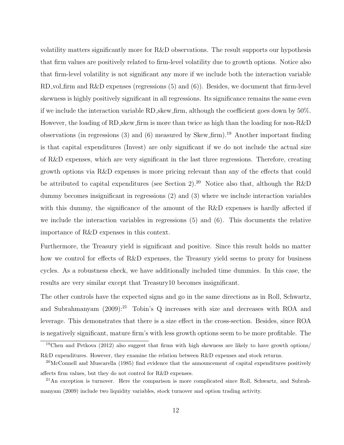volatility matters significantly more for R&D observations. The result supports our hypothesis that firm values are positively related to firm-level volatility due to growth options. Notice also that firm-level volatility is not significant any more if we include both the interaction variable RD vol firm and R&D expenses (regressions (5) and (6)). Besides, we document that firm-level skewness is highly positively significant in all regressions. Its significance remains the same even if we include the interaction variable  $RD$  skew firm, although the coefficient goes down by  $50\%$ . However, the loading of RD skew firm is more than twice as high than the loading for non-R&D observations (in regressions  $(3)$  and  $(6)$  measured by Skew firm).<sup>19</sup> Another important finding is that capital expenditures (Invest) are only significant if we do not include the actual size of R&D expenses, which are very significant in the last three regressions. Therefore, creating growth options via  $R&D$  expenses is more pricing relevant than any of the effects that could be attributed to capital expenditures (see Section 2).<sup>20</sup> Notice also that, although the R&D dummy becomes insignificant in regressions (2) and (3) where we include interaction variables with this dummy, the significance of the amount of the R&D expenses is hardly affected if we include the interaction variables in regressions (5) and (6). This documents the relative importance of R&D expenses in this context.

Furthermore, the Treasury yield is significant and positive. Since this result holds no matter how we control for effects of R&D expenses, the Treasury yield seems to proxy for business cycles. As a robustness check, we have additionally included time dummies. In this case, the results are very similar except that Treasury10 becomes insignificant.

The other controls have the expected signs and go in the same directions as in Roll, Schwartz, and Subrahmanyam  $(2009):^{21}$  Tobin's Q increases with size and decreases with ROA and leverage. This demonstrates that there is a size effect in the cross-section. Besides, since ROA is negatively significant, mature firm's with less growth options seem to be more profitable. The

<sup>19</sup>Chen and Petkova (2012) also suggest that firms with high skewness are likely to have growth options/ R&D expenditures. However, they examine the relation between R&D expenses and stock returns.

 $^{20}$ McConnell and Muscarella (1985) find evidence that the announcement of capital expenditures positively affects firm values, but they do not control for R&D expenses.

 $21$ An exception is turnover. Here the comparison is more complicated since Roll, Schwartz, and Subrahmanyam (2009) include two liquidity variables, stock turnover and option trading activity.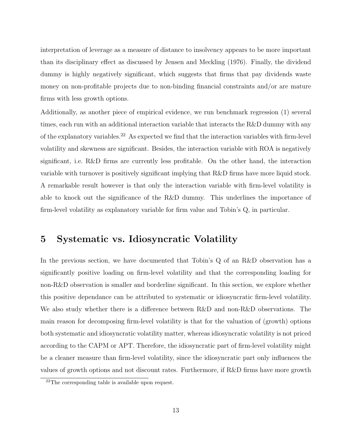interpretation of leverage as a measure of distance to insolvency appears to be more important than its disciplinary effect as discussed by Jensen and Meckling (1976). Finally, the dividend dummy is highly negatively significant, which suggests that firms that pay dividends waste money on non-profitable projects due to non-binding financial constraints and/or are mature firms with less growth options.

Additionally, as another piece of empirical evidence, we run benchmark regression (1) several times, each run with an additional interaction variable that interacts the R&D dummy with any of the explanatory variables.<sup>22</sup> As expected we find that the interaction variables with firm-level volatility and skewness are significant. Besides, the interaction variable with ROA is negatively significant, i.e. R&D firms are currently less profitable. On the other hand, the interaction variable with turnover is positively significant implying that R&D firms have more liquid stock. A remarkable result however is that only the interaction variable with firm-level volatility is able to knock out the significance of the R&D dummy. This underlines the importance of firm-level volatility as explanatory variable for firm value and Tobin's Q, in particular.

## 5 Systematic vs. Idiosyncratic Volatility

In the previous section, we have documented that Tobin's Q of an R&D observation has a significantly positive loading on firm-level volatility and that the corresponding loading for non-R&D observation is smaller and borderline significant. In this section, we explore whether this positive dependance can be attributed to systematic or idiosyncratic firm-level volatility. We also study whether there is a difference between  $R&D$  and non- $R&D$  observations. The main reason for decomposing firm-level volatility is that for the valuation of (growth) options both systematic and idiosyncratic volatility matter, whereas idiosyncratic volatility is not priced according to the CAPM or APT. Therefore, the idiosyncratic part of firm-level volatility might be a cleaner measure than firm-level volatility, since the idiosyncratic part only influences the values of growth options and not discount rates. Furthermore, if R&D firms have more growth

<sup>22</sup>The corresponding table is available upon request.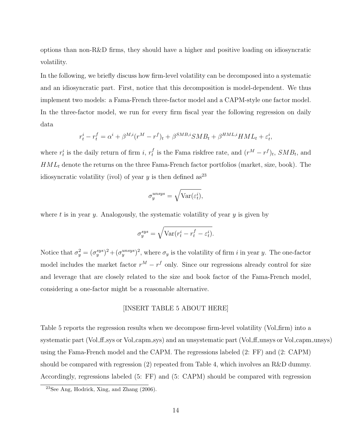options than non-R&D firms, they should have a higher and positive loading on idiosyncratic volatility.

In the following, we briefly discuss how firm-level volatility can be decomposed into a systematic and an idiosyncratic part. First, notice that this decomposition is model-dependent. We thus implement two models: a Fama-French three-factor model and a CAPM-style one factor model. In the three-factor model, we run for every firm fiscal year the following regression on daily data

$$
r_t^i - r_t^f = \alpha^i + \beta^{M,i} (r^M - r^f)_t + \beta^{SMB,i} SMB_t + \beta^{HML,i} HML_t + \varepsilon_t^i,
$$

where  $r_t^i$  is the daily return of firm *i*,  $r_t^f$  is the Fama riskfree rate, and  $(r^M - r^f)_t$ ,  $SMB_t$ , and *HML<sup>t</sup>* denote the returns on the three Fama-French factor portfolios (market, size, book). The idiosyncratic volatility (ivol) of year *y* is then defined as<sup>23</sup>

$$
\sigma_y^{unsys} = \sqrt{\mathrm{Var}(\varepsilon_t^i)},
$$

where *t* is in year *y*. Analogously, the systematic volatility of year *y* is given by

$$
\sigma_y^{sys} = \sqrt{\text{Var}(r_t^i - r_t^f - \varepsilon_t^i)}.
$$

Notice that  $\sigma_y^2 = (\sigma_y^{sys})^2 + (\sigma_y^{unsys})^2$ , where  $\sigma_y$  is the volatility of firm *i* in year *y*. The one-factor model includes the market factor  $r^M - r^f$  only. Since our regressions already control for size and leverage that are closely related to the size and book factor of the Fama-French model, considering a one-factor might be a reasonable alternative.

#### [INSERT TABLE 5 ABOUT HERE]

Table 5 reports the regression results when we decompose firm-level volatility (Vol firm) into a systematic part (Vol ff sys or Vol capm sys) and an unsystematic part (Vol ff unsys or Vol capm unsys) using the Fama-French model and the CAPM. The regressions labeled (2: FF) and (2: CAPM) should be compared with regression (2) repeated from Table 4, which involves an R&D dummy. Accordingly, regressions labeled (5: FF) and (5: CAPM) should be compared with regression

 $23$ See Ang, Hodrick, Xing, and Zhang  $(2006)$ .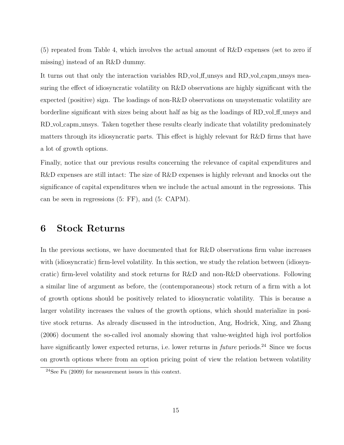(5) repeated from Table 4, which involves the actual amount of R&D expenses (set to zero if missing) instead of an R&D dummy.

It turns out that only the interaction variables RD\_vol\_ff\_unsys and RD\_vol\_capm\_unsys measuring the effect of idiosyncratic volatility on  $R\&D$  observations are highly significant with the expected (positive) sign. The loadings of non-R&D observations on unsystematic volatility are borderline significant with sizes being about half as big as the loadings of RD\_vol ff\_unsys and RD vol capm unsys. Taken together these results clearly indicate that volatility predominately matters through its idiosyncratic parts. This effect is highly relevant for  $R&D$  firms that have a lot of growth options.

Finally, notice that our previous results concerning the relevance of capital expenditures and R&D expenses are still intact: The size of R&D expenses is highly relevant and knocks out the significance of capital expenditures when we include the actual amount in the regressions. This can be seen in regressions (5: FF), and (5: CAPM).

### 6 Stock Returns

In the previous sections, we have documented that for R&D observations firm value increases with (idiosyncratic) firm-level volatility. In this section, we study the relation between (idiosyncratic) firm-level volatility and stock returns for R&D and non-R&D observations. Following a similar line of argument as before, the (contemporaneous) stock return of a firm with a lot of growth options should be positively related to idiosyncratic volatility. This is because a larger volatility increases the values of the growth options, which should materialize in positive stock returns. As already discussed in the introduction, Ang, Hodrick, Xing, and Zhang (2006) document the so-called ivol anomaly showing that value-weighted high ivol portfolios have significantly lower expected returns, i.e. lower returns in *future* periods.<sup>24</sup> Since we focus on growth options where from an option pricing point of view the relation between volatility

 $24$ See Fu (2009) for measurement issues in this context.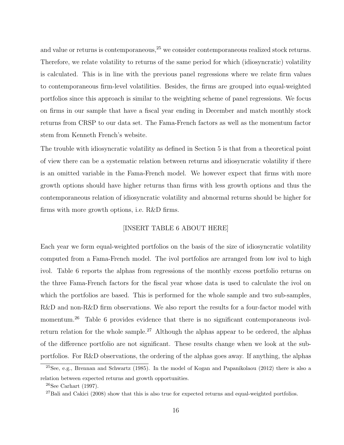and value or returns is contemporaneous,  $25$  we consider contemporaneous realized stock returns. Therefore, we relate volatility to returns of the same period for which (idiosyncratic) volatility is calculated. This is in line with the previous panel regressions where we relate firm values to contemporaneous firm-level volatilities. Besides, the firms are grouped into equal-weighted portfolios since this approach is similar to the weighting scheme of panel regressions. We focus on firms in our sample that have a fiscal year ending in December and match monthly stock returns from CRSP to our data set. The Fama-French factors as well as the momentum factor stem from Kenneth French's website.

The trouble with idiosyncratic volatility as defined in Section 5 is that from a theoretical point of view there can be a systematic relation between returns and idiosyncratic volatility if there is an omitted variable in the Fama-French model. We however expect that firms with more growth options should have higher returns than firms with less growth options and thus the contemporaneous relation of idiosyncratic volatility and abnormal returns should be higher for firms with more growth options, i.e. R&D firms.

#### [INSERT TABLE 6 ABOUT HERE]

Each year we form equal-weighted portfolios on the basis of the size of idiosyncratic volatility computed from a Fama-French model. The ivol portfolios are arranged from low ivol to high ivol. Table 6 reports the alphas from regressions of the monthly excess portfolio returns on the three Fama-French factors for the fiscal year whose data is used to calculate the ivol on which the portfolios are based. This is performed for the whole sample and two sub-samples, R&D and non-R&D firm observations. We also report the results for a four-factor model with momentum.<sup>26</sup> Table 6 provides evidence that there is no significant contemporaneous ivolreturn relation for the whole sample.<sup>27</sup> Although the alphas appear to be ordered, the alphas of the difference portfolio are not significant. These results change when we look at the subportfolios. For R&D observations, the ordering of the alphas goes away. If anything, the alphas

 $25$ See, e.g., Brennan and Schwartz (1985). In the model of Kogan and Papanikolaou (2012) there is also a relation between expected returns and growth opportunities.

 $26$ See Carhart (1997).

 $^{27}$ Bali and Cakici (2008) show that this is also true for expected returns and equal-weighted portfolios.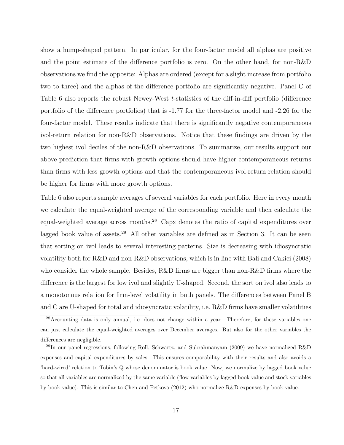show a hump-shaped pattern. In particular, for the four-factor model all alphas are positive and the point estimate of the difference portfolio is zero. On the other hand, for non-R&D observations we find the opposite: Alphas are ordered (except for a slight increase from portfolio two to three) and the alphas of the difference portfolio are significantly negative. Panel C of Table 6 also reports the robust Newey-West *t*-statistics of the diff-in-diff portfolio (difference portfolio of the difference portfolios) that is -1.77 for the three-factor model and -2.26 for the four-factor model. These results indicate that there is significantly negative contemporaneous ivol-return relation for non-R&D observations. Notice that these findings are driven by the two highest ivol deciles of the non-R&D observations. To summarize, our results support our above prediction that firms with growth options should have higher contemporaneous returns than firms with less growth options and that the contemporaneous ivol-return relation should be higher for firms with more growth options.

Table 6 also reports sample averages of several variables for each portfolio. Here in every month we calculate the equal-weighted average of the corresponding variable and then calculate the equal-weighted average across months.<sup>28</sup> Capx denotes the ratio of capital expenditures over lagged book value of assets.<sup>29</sup> All other variables are defined as in Section 3. It can be seen that sorting on ivol leads to several interesting patterns. Size is decreasing with idiosyncratic volatility both for R&D and non-R&D observations, which is in line with Bali and Cakici (2008) who consider the whole sample. Besides, R&D firms are bigger than non-R&D firms where the difference is the largest for low ivol and slightly U-shaped. Second, the sort on ivol also leads to a monotonous relation for firm-level volatility in both panels. The differences between Panel B and C are U-shaped for total and idiosyncratic volatility, i.e. R&D firms have smaller volatilities

<sup>&</sup>lt;sup>28</sup>Accounting data is only annual, i.e. does not change within a year. Therefore, for these variables one can just calculate the equal-weighted averages over December averages. But also for the other variables the differences are negligible.

 $^{29}$ In our panel regressions, following Roll, Schwartz, and Subrahmanyam (2009) we have normalized R&D expenses and capital expenditures by sales. This ensures comparability with their results and also avoids a 'hard-wired' relation to Tobin's Q whose denominator is book value. Now, we normalize by lagged book value so that all variables are normalized by the same variable (flow variables by lagged book value and stock variables by book value). This is similar to Chen and Petkova (2012) who normalize R&D expenses by book value.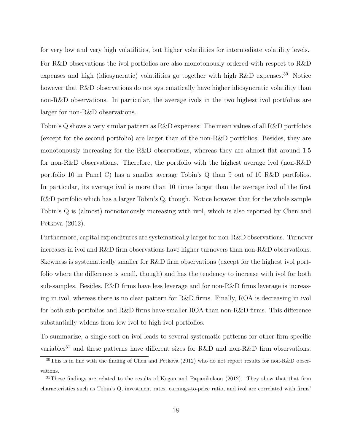for very low and very high volatilities, but higher volatilities for intermediate volatility levels. For R&D observations the ivol portfolios are also monotonously ordered with respect to R&D expenses and high (idiosyncratic) volatilities go together with high R&D expenses.<sup>30</sup> Notice however that R&D observations do not systematically have higher idiosyncratic volatility than non-R&D observations. In particular, the average ivols in the two highest ivol portfolios are larger for non-R&D observations.

Tobin's Q shows a very similar pattern as R&D expenses: The mean values of all R&D portfolios (except for the second portfolio) are larger than of the non-R&D portfolios. Besides, they are monotonously increasing for the R&D observations, whereas they are almost flat around 1.5 for non-R&D observations. Therefore, the portfolio with the highest average ivol (non-R&D portfolio 10 in Panel C) has a smaller average Tobin's Q than 9 out of 10 R&D portfolios. In particular, its average ivol is more than 10 times larger than the average ivol of the first R&D portfolio which has a larger Tobin's Q, though. Notice however that for the whole sample Tobin's Q is (almost) monotonously increasing with ivol, which is also reported by Chen and Petkova (2012).

Furthermore, capital expenditures are systematically larger for non-R&D observations. Turnover increases in ivol and R&D firm observations have higher turnovers than non-R&D observations. Skewness is systematically smaller for R&D firm observations (except for the highest ivol portfolio where the difference is small, though) and has the tendency to increase with ivol for both sub-samples. Besides, R&D firms have less leverage and for non-R&D firms leverage is increasing in ivol, whereas there is no clear pattern for R&D firms. Finally, ROA is decreasing in ivol for both sub-portfolios and  $R\&D$  firms have smaller ROA than non- $R\&D$  firms. This difference substantially widens from low ivol to high ivol portfolios.

To summarize, a single-sort on ivol leads to several systematic patterns for other firm-specific variables<sup>31</sup> and these patterns have different sizes for R&D and non-R&D firm observations.

 $30$ This is in line with the finding of Chen and Petkova (2012) who do not report results for non-R&D observations.

<sup>&</sup>lt;sup>31</sup>These findings are related to the results of Kogan and Papanikolaou (2012). They show that that firm characteristics such as Tobin's Q, investment rates, earnings-to-price ratio, and ivol are correlated with firms'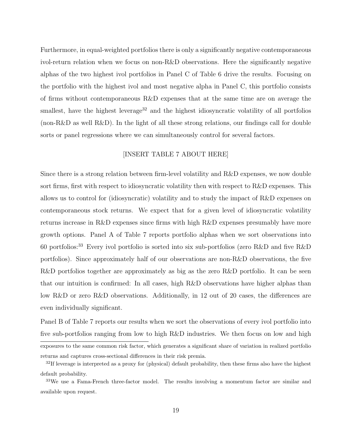Furthermore, in equal-weighted portfolios there is only a significantly negative contemporaneous ivol-return relation when we focus on non-R&D observations. Here the significantly negative alphas of the two highest ivol portfolios in Panel C of Table 6 drive the results. Focusing on the portfolio with the highest ivol and most negative alpha in Panel C, this portfolio consists of firms without contemporaneous R&D expenses that at the same time are on average the smallest, have the highest leverage<sup>32</sup> and the highest idiosyncratic volatility of all portfolios (non-R&D as well R&D). In the light of all these strong relations, our findings call for double sorts or panel regressions where we can simultaneously control for several factors.

#### [INSERT TABLE 7 ABOUT HERE]

Since there is a strong relation between firm-level volatility and R&D expenses, we now double sort firms, first with respect to idiosyncratic volatility then with respect to R&D expenses. This allows us to control for (idiosyncratic) volatility and to study the impact of R&D expenses on contemporaneous stock returns. We expect that for a given level of idiosyncratic volatility returns increase in R&D expenses since firms with high R&D expenses presumably have more growth options. Panel A of Table 7 reports portfolio alphas when we sort observations into 60 portfolios:<sup>33</sup> Every ivol portfolio is sorted into six sub-portfolios (zero R&D and five R&D portfolios). Since approximately half of our observations are non-R&D observations, the five R&D portfolios together are approximately as big as the zero R&D portfolio. It can be seen that our intuition is confirmed: In all cases, high R&D observations have higher alphas than low R&D or zero R&D observations. Additionally, in 12 out of 20 cases, the differences are even individually significant.

Panel B of Table 7 reports our results when we sort the observations of every ivol portfolio into five sub-portfolios ranging from low to high R&D industries. We then focus on low and high exposures to the same common risk factor, which generates a significant share of variation in realized portfolio returns and captures cross-sectional differences in their risk premia.

 $32$ If leverage is interpreted as a proxy for (physical) default probability, then these firms also have the highest default probability.

<sup>&</sup>lt;sup>33</sup>We use a Fama-French three-factor model. The results involving a momentum factor are similar and available upon request.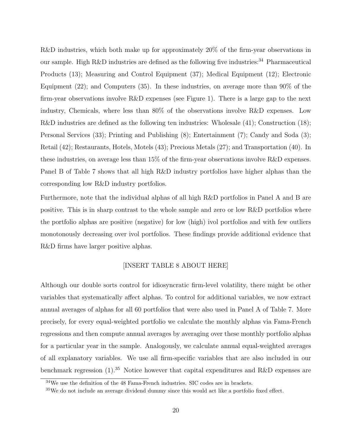R&D industries, which both make up for approximately 20% of the firm-year observations in our sample. High R&D industries are defined as the following five industries: $34$  Pharmaceutical Products (13); Measuring and Control Equipment (37); Medical Equipment (12); Electronic Equipment (22); and Computers (35). In these industries, on average more than 90% of the firm-year observations involve R&D expenses (see Figure 1). There is a large gap to the next industry, Chemicals, where less than 80% of the observations involve R&D expenses. Low R&D industries are defined as the following ten industries: Wholesale  $(41)$ ; Construction  $(18)$ ; Personal Services (33); Printing and Publishing (8); Entertainment (7); Candy and Soda (3); Retail (42); Restaurants, Hotels, Motels (43); Precious Metals (27); and Transportation (40). In these industries, on average less than 15% of the firm-year observations involve R&D expenses. Panel B of Table 7 shows that all high R&D industry portfolios have higher alphas than the corresponding low R&D industry portfolios.

Furthermore, note that the individual alphas of all high R&D portfolios in Panel A and B are positive. This is in sharp contrast to the whole sample and zero or low R&D portfolios where the portfolio alphas are positive (negative) for low (high) ivol portfolios and with few outliers monotonously decreasing over ivol portfolios. These findings provide additional evidence that R&D firms have larger positive alphas.

#### [INSERT TABLE 8 ABOUT HERE]

Although our double sorts control for idiosyncratic firm-level volatility, there might be other variables that systematically affect alphas. To control for additional variables, we now extract annual averages of alphas for all 60 portfolios that were also used in Panel A of Table 7. More precisely, for every equal-weighted portfolio we calculate the monthly alphas via Fama-French regressions and then compute annual averages by averaging over these monthly portfolio alphas for a particular year in the sample. Analogously, we calculate annual equal-weighted averages of all explanatory variables. We use all firm-specific variables that are also included in our benchmark regression  $(1)$ <sup>35</sup> Notice however that capital expenditures and R&D expenses are

 $34$ We use the definition of the 48 Fama-French industries. SIC codes are in brackets.

 $35W$ e do not include an average dividend dummy since this would act like a portfolio fixed effect.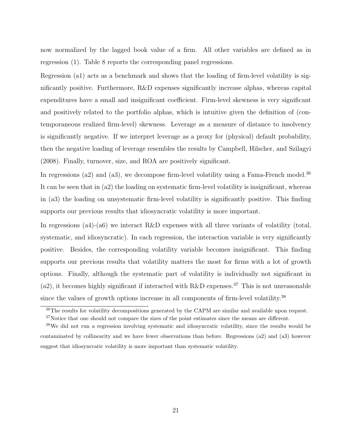now normalized by the lagged book value of a firm. All other variables are defined as in regression (1). Table 8 reports the corresponding panel regressions.

Regression (a1) acts as a benchmark and shows that the loading of firm-level volatility is significantly positive. Furthermore, R&D expenses significantly increase alphas, whereas capital expenditures have a small and insignificant coefficient. Firm-level skewness is very significant and positively related to the portfolio alphas, which is intuitive given the definition of (contemporaneous realized firm-level) skewness. Leverage as a measure of distance to insolvency is significantly negative. If we interpret leverage as a proxy for (physical) default probability, then the negative loading of leverage resembles the results by Campbell, Hilscher, and Szilagyi (2008). Finally, turnover, size, and ROA are positively significant.

In regressions (a2) and (a3), we decompose firm-level volatility using a Fama-French model.<sup>36</sup> It can be seen that in (a2) the loading on systematic firm-level volatility is insignificant, whereas in (a3) the loading on unsystematic firm-level volatility is significantly positive. This finding supports our previous results that idiosyncratic volatility is more important.

In regressions  $(a4)-(a6)$  we interact R&D expenses with all three variants of volatility (total, systematic, and idiosyncratic). In each regression, the interaction variable is very significantly positive. Besides, the corresponding volatility variable becomes insignificant. This finding supports our previous results that volatility matters the most for firms with a lot of growth options. Finally, although the systematic part of volatility is individually not significant in (a2), it becomes highly significant if interacted with  $R&D$  expenses.<sup>37</sup> This is not unreasonable since the values of growth options increase in all components of firm-level volatility.<sup>38</sup>

<sup>&</sup>lt;sup>36</sup>The results for volatility decompositions generated by the CAPM are similar and available upon request.

 $37$ Notice that one should not compare the sizes of the point estimates since the means are different.

<sup>38</sup>We did not run a regression involving systematic and idiosyncratic volatility, since the results would be contaminated by collinearity and we have fewer observations than before. Regressions (a2) and (a3) however suggest that idiosyncratic volatility is more important than systematic volatility.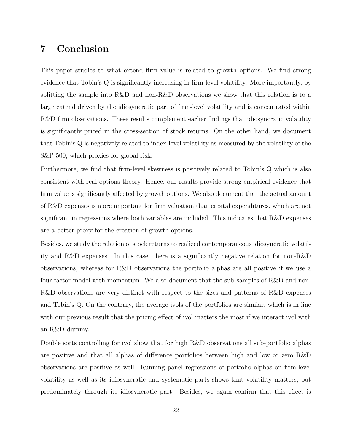# 7 Conclusion

This paper studies to what extend firm value is related to growth options. We find strong evidence that Tobin's Q is significantly increasing in firm-level volatility. More importantly, by splitting the sample into R&D and non-R&D observations we show that this relation is to a large extend driven by the idiosyncratic part of firm-level volatility and is concentrated within R&D firm observations. These results complement earlier findings that idiosyncratic volatility is significantly priced in the cross-section of stock returns. On the other hand, we document that Tobin's Q is negatively related to index-level volatility as measured by the volatility of the S&P 500, which proxies for global risk.

Furthermore, we find that firm-level skewness is positively related to Tobin's Q which is also consistent with real options theory. Hence, our results provide strong empirical evidence that firm value is significantly affected by growth options. We also document that the actual amount of R&D expenses is more important for firm valuation than capital expenditures, which are not significant in regressions where both variables are included. This indicates that R&D expenses are a better proxy for the creation of growth options.

Besides, we study the relation of stock returns to realized contemporaneous idiosyncratic volatility and R&D expenses. In this case, there is a significantly negative relation for non-R&D observations, whereas for R&D observations the portfolio alphas are all positive if we use a four-factor model with momentum. We also document that the sub-samples of R&D and non-R&D observations are very distinct with respect to the sizes and patterns of R&D expenses and Tobin's Q. On the contrary, the average ivols of the portfolios are similar, which is in line with our previous result that the pricing effect of ivol matters the most if we interact ivol with an R&D dummy.

Double sorts controlling for ivol show that for high R&D observations all sub-portfolio alphas are positive and that all alphas of difference portfolios between high and low or zero  $R\&D$ observations are positive as well. Running panel regressions of portfolio alphas on firm-level volatility as well as its idiosyncratic and systematic parts shows that volatility matters, but predominately through its idiosyncratic part. Besides, we again confirm that this effect is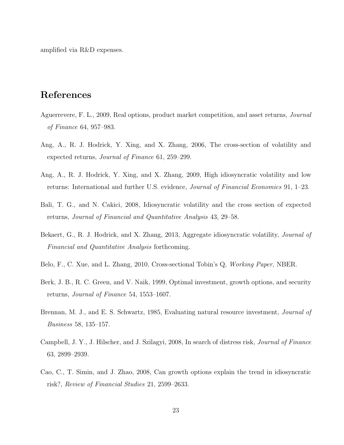amplified via R&D expenses.

# References

- Aguerrevere, F. L., 2009, Real options, product market competition, and asset returns, *Journal of Finance* 64, 957–983.
- Ang, A., R. J. Hodrick, Y. Xing, and X. Zhang, 2006, The cross-section of volatility and expected returns, *Journal of Finance* 61, 259–299.
- Ang, A., R. J. Hodrick, Y. Xing, and X. Zhang, 2009, High idiosyncratic volatility and low returns: International and further U.S. evidence, *Journal of Financial Economics* 91, 1–23.
- Bali, T. G., and N. Cakici, 2008, Idiosyncratic volatility and the cross section of expected returns, *Journal of Financial and Quantitative Analysis* 43, 29–58.
- Bekaert, G., R. J. Hodrick, and X. Zhang, 2013, Aggregate idiosyncratic volatility, *Journal of Financial and Quantitative Analysis* forthcoming.
- Belo, F., C. Xue, and L. Zhang, 2010, Cross-sectional Tobin's Q, *Working Paper,* NBER.
- Berk, J. B., R. C. Green, and V. Naik, 1999, Optimal investment, growth options, and security returns, *Journal of Finance* 54, 1553–1607.
- Brennan, M. J., and E. S. Schwartz, 1985, Evaluating natural resource investment, *Journal of Business* 58, 135–157.
- Campbell, J. Y., J. Hilscher, and J. Szilagyi, 2008, In search of distress risk, *Journal of Finance* 63, 2899–2939.
- Cao, C., T. Simin, and J. Zhao, 2008, Can growth options explain the trend in idiosyncratic risk?, *Review of Financial Studies* 21, 2599–2633.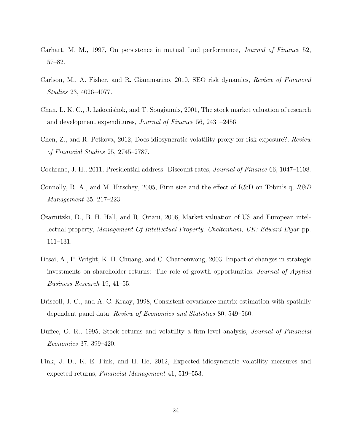- Carhart, M. M., 1997, On persistence in mutual fund performance, *Journal of Finance* 52, 57–82.
- Carlson, M., A. Fisher, and R. Giammarino, 2010, SEO risk dynamics, *Review of Financial Studies* 23, 4026–4077.
- Chan, L. K. C., J. Lakonishok, and T. Sougiannis, 2001, The stock market valuation of research and development expenditures, *Journal of Finance* 56, 2431–2456.
- Chen, Z., and R. Petkova, 2012, Does idiosyncratic volatility proxy for risk exposure?, *Review of Financial Studies* 25, 2745–2787.
- Cochrane, J. H., 2011, Presidential address: Discount rates, *Journal of Finance* 66, 1047–1108.
- Connolly, R. A., and M. Hirschey, 2005, Firm size and the effect of R&D on Tobin's q,  $R\&D$ *Management* 35, 217–223.
- Czarnitzki, D., B. H. Hall, and R. Oriani, 2006, Market valuation of US and European intellectual property, *Management Of Intellectual Property. Cheltenham, UK: Edward Elgar* pp. 111–131.
- Desai, A., P. Wright, K. H. Chuang, and C. Charoenwong, 2003, Impact of changes in strategic investments on shareholder returns: The role of growth opportunities, *Journal of Applied Business Research* 19, 41–55.
- Driscoll, J. C., and A. C. Kraay, 1998, Consistent covariance matrix estimation with spatially dependent panel data, *Review of Economics and Statistics* 80, 549–560.
- Duffee, G. R., 1995, Stock returns and volatility a firm-level analysis, *Journal of Financial Economics* 37, 399–420.
- Fink, J. D., K. E. Fink, and H. He, 2012, Expected idiosyncratic volatility measures and expected returns, *Financial Management* 41, 519–553.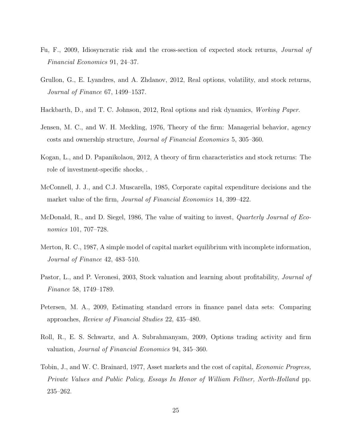- Fu, F., 2009, Idiosyncratic risk and the cross-section of expected stock returns, *Journal of Financial Economics* 91, 24–37.
- Grullon, G., E. Lyandres, and A. Zhdanov, 2012, Real options, volatility, and stock returns, *Journal of Finance* 67, 1499–1537.
- Hackbarth, D., and T. C. Johnson, 2012, Real options and risk dynamics, *Working Paper*.
- Jensen, M. C., and W. H. Meckling, 1976, Theory of the firm: Managerial behavior, agency costs and ownership structure, *Journal of Financial Economics* 5, 305–360.
- Kogan, L., and D. Papanikolaou, 2012, A theory of firm characteristics and stock returns: The role of investment-specific shocks, .
- McConnell, J. J., and C.J. Muscarella, 1985, Corporate capital expenditure decisions and the market value of the firm, *Journal of Financial Economics* 14, 399–422.
- McDonald, R., and D. Siegel, 1986, The value of waiting to invest, *Quarterly Journal of Economics* 101, 707–728.
- Merton, R. C., 1987, A simple model of capital market equilibrium with incomplete information, *Journal of Finance* 42, 483–510.
- Pastor, L., and P. Veronesi, 2003, Stock valuation and learning about profitability, *Journal of Finance* 58, 1749–1789.
- Petersen, M. A., 2009, Estimating standard errors in finance panel data sets: Comparing approaches, *Review of Financial Studies* 22, 435–480.
- Roll, R., E. S. Schwartz, and A. Subrahmanyam, 2009, Options trading activity and firm valuation, *Journal of Financial Economics* 94, 345–360.
- Tobin, J., and W. C. Brainard, 1977, Asset markets and the cost of capital, *Economic Progress, Private Values and Public Policy, Essays In Honor of William Fellner, North-Holland* pp. 235–262.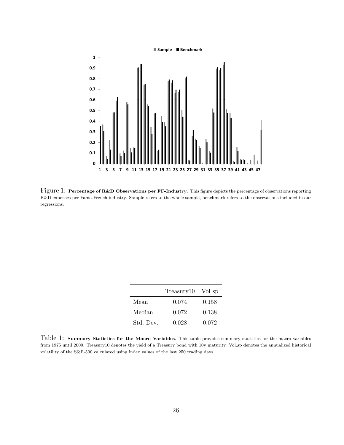

Figure 1: Percentage of R&D Observations per FF-Industry. This figure depicts the percentage of observations reporting R&D expenses per Fama-French industry. Sample refers to the whole sample, benchmark refers to the observations included in our regressions.

|           | $T$ reasury $10$ | Vol_sp |
|-----------|------------------|--------|
| Mean      | 0.074            | 0.158  |
| Median    | 0.072            | 0.138  |
| Std. Dev. | 0.028            | 0.072  |

Table 1: Summary Statistics for the Macro Variables. This table provides summary statistics for the macro variables from 1975 until 2009. Treasury10 denotes the yield of a Treasury bond with 10y maturity. Vol sp denotes the annualized historical volatility of the S&P-500 calculated using index values of the last 250 trading days.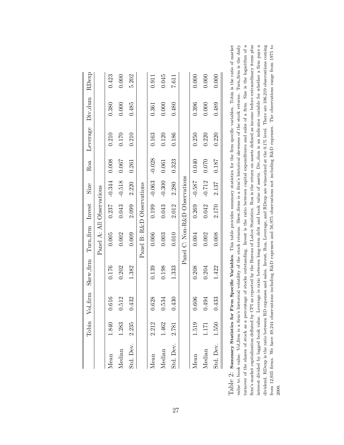|                 | Tobin     | Vol_firm | Skew_firm | Turn_firm Invest              |       | Size     | Roa      | Leverage | Div <sub>-dum</sub> | RDexp |
|-----------------|-----------|----------|-----------|-------------------------------|-------|----------|----------|----------|---------------------|-------|
|                 |           |          |           | Panel A: All Observations     |       |          |          |          |                     |       |
| Mean            | $1.840\,$ | 0.616    | 0.176     | 0.005                         | 0.237 | $-0.344$ | 0.008    | 0.210    | 0.380               | 0.423 |
| Median 1.283    |           | 0.512    | 0.202     | 0.002                         | 0.043 | $-0.518$ | 0.067    | 0.170    | 0.000               | 0.000 |
| Std. Dev. 2.235 |           | 0.432    | 1.382     | 0.009                         | 2.099 | 2.220    | 0.261    | 0.210    | 0.485               | 5.202 |
|                 |           |          |           | Panel B: R&D Observations     |       |          |          |          |                     |       |
| Mean            | 2.212     | 0.628    | 0.139     | 0.006                         | 0.199 | $-0.063$ | $-0.028$ | 0.163    | 0.361               | 0.911 |
| Median          | 1.462     | 0.534    | 0.198     | 0.003                         | 0.043 | $-0.300$ | 0.061    | 0.120    | 0.000               | 0.045 |
| Std. Dev. 2.781 |           | 0.430    | 1.333     | 0.010                         | 2.012 | 2.280    | 0.323    | 0.186    | 0.480               | 7.611 |
|                 |           |          |           | Panel C: Non-R&D Observations |       |          |          |          |                     |       |
| Mean            | 1.519     | 0.606    | 0.208     | 0.004                         | 0.269 | $-0.587$ | 0.040    | 0.250    | 0.396               | 0.000 |
| Median          | 1.171     | 0.494    | 0.204     | 0.002                         | 0.042 | $-0.712$ | 0.070    | 0.220    | 0.000               | 0.000 |
| Std. Dev. 1.550 |           | 0.433    | 1.422     | 0.008                         | 2.170 | 2.137    | 0.187    | 0.220    | 0.489               | 0.000 |
|                 |           |          |           |                               |       |          |          |          |                     |       |

value to book value. Vol-firm is a firm's historical volatility of the stock returns. Skew-firms is a firm's historical skewness of the stock returns. Turn-firm is the daily turnover of the shares of stock as a percentage of stocks outstanding. Invest is the ratio between capital expenditures and sales of a firm. Size is the logarithm of a firm's market capitalization deflated by CPI as reported by the Bureau of Labor Statistics. Roa is the return on assets defined as income before extraordinary items plus interest divided by lagged book value. Leverage is ratio between long-term debt and book value of assets. Div.dum is an indicator variable for whether a firm pays a dividend. RDexp is the ratio between RD expenses and sales. Invest, Roa, Leverage, and RDexp are winsorized at the 0.1% level. There are 106,219 observations coming from 12,935 firms. We have 49,244 observations including R&D expenses and 56,975 observations not including R&D expenses. The observations range from 1975 to Table 2: Summary Statistics for Firm Specific Variables. This table provides summary statistics for the firm specific variables. Tobin is the ratio of market turnover of the shares of stock as a percentage of stocks outstanding. Invest is the ratio between capital expenditures and sales of a firm. Size is the logarithm of a interest divided by lagged book value. Leverage is ratio between long-term debt and book value of assets. Div dum is an indicator variable for whether a firm pays a dividend. RDexp is the ratio between RD expenses and sales. Invest, Roa, Leverage, and RDexp are winsorized at the 0.1% level. There are 106,219 observations coming from 12,935 firms. We have 49,244 observations including R&D expenses and 56,975 observations not including R&D expenses. The observations range from 1975 to Table 2: Summary Statistics for Firm Specific Variables. This table provides summary statistics for the firm specific variables. Tobin is the ratio of market value to book value. Vol firm is a firm's historical volatility of the stock returns. Skew firms is a firm's historical skewness of the stock returns. Turn firm is the daily firm's market capitalization deflated by CPI as reported by the Bureau of Labor Statistics. Roa is the return on assets defined as income before extraordinary items plus 2009.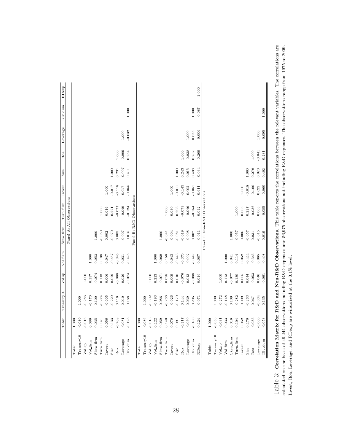|                                            |          |          |           |          |                               | Panel A: All Observations |          |          |           |           |           |       |
|--------------------------------------------|----------|----------|-----------|----------|-------------------------------|---------------------------|----------|----------|-----------|-----------|-----------|-------|
|                                            | 1.000    |          |           |          |                               |                           |          |          |           |           |           |       |
| Treasury10                                 | $-0.080$ | 1.000    |           |          |                               |                           |          |          |           |           |           |       |
|                                            | $-0.016$ | $-0.286$ | 1.000     |          |                               |                           |          |          |           |           |           |       |
| Vol_firm                                   | 0.086    | $-0.170$ | 0.197     | 1.000    |                               |                           |          |          |           |           |           |       |
| Skew_firm                                  | 0.035    | 0.100    | $-0.074$  | 0.053    | 1.000                         |                           |          |          |           |           |           |       |
| Turn_firm                                  | 0.141    | $-0.274$ | 0.113     | 0.138    | $-0.050$                      | 1.000                     |          |          |           |           |           |       |
|                                            | 0.056    | $-0.005$ | 0.006     | 0.047    | 0.002                         | 0.016                     | 1.000    |          |           |           |           |       |
|                                            | 0.133    | $-0.229$ | 0.029     | $-0.437$ | $-0.070$                      | 0.221                     | $-0.017$ | 1.000    |           |           |           |       |
|                                            | $-0.268$ | 0.116    | $-0.068$  | $-0.346$ | 0.005                         | $-0.077$                  | $-0.118$ | 0.231    | $1.000\,$ |           |           |       |
| Leverage                                   | $-0.081$ | 0.010    | 0.026     | 0.031    | $-0.007$                      | $-0.040$                  | 0.017    | $-0.007$ | $-0.009$  | 1.000     |           |       |
| Div <sub>-dum</sub>                        | $-0.128$ | 0.168    | $-0.074$  | $-0.428$ | 0.015                         | $-0.124$                  | $-0.055$ | 0.411    | 0.254     | $-0.032$  | 1.000     |       |
|                                            |          |          |           |          |                               | Panel B: R&D Observations |          |          |           |           |           |       |
|                                            | 1.000    |          |           |          |                               |                           |          |          |           |           |           |       |
| Treasury10                                 | $-0.086$ | 1.000    |           |          |                               |                           |          |          |           |           |           |       |
|                                            | $-0.013$ | $-0.302$ | 1.000     |          |                               |                           |          |          |           |           |           |       |
| Vol_firm                                   | 0.122    | $-0.193$ | 0.223     | 1.000    |                               |                           |          |          |           |           |           |       |
| Skew_firm                                  | 0.059    | 0.086    | $-0.071$  | 0.069    | 1.000                         |                           |          |          |           |           |           |       |
| Turn_firm                                  | 0.140    | $-0.266$ | 0.098     | 0.158    | $-0.041$                      | 1.000                     |          |          |           |           |           |       |
|                                            | 0.070    | $-0.026$ | 0.009     | 0.043    | $-0.004$                      | 0.030                     | 1.000    |          |           |           |           |       |
|                                            | 0.091    | $-0.179$ | 0.010     | $-0.443$ | $-0.081$                      | 0.203                     | $-0.011$ | 1.000    |           |           |           |       |
|                                            | $-0.317$ | 0.144    | $-0.076$  | $-0.370$ | $-0.019$                      | $-0.079$                  | $-0.145$ | 0.243    | $1.000\,$ |           |           |       |
| Leverage                                   | $-0.050$ | 0.039    | 0.013     | $-0.002$ | $-0.008$                      | $-0.046$                  | 0.002    | 0.015    | $-0.038$  | 1.000     |           |       |
| Div_dum                                    | $-0.180$ | 0.205    | $-0.088$  | $-0.449$ | 0.007                         | $-0.154$                  | $-0.051$ | 0.438    | 0.282     | 0.035     | $1.000\,$ |       |
|                                            | 0.124    | $-0.071$ | 0.016     | 0.087    | $-0.011$                      | 0.042                     | 0.611    | $-0.034$ | $-0.269$  | $-0.006$  | $-0.087$  | 1.000 |
|                                            |          |          |           |          | Panel C: Non-R&D Observations |                           |          |          |           |           |           |       |
|                                            | 1.000    |          |           |          |                               |                           |          |          |           |           |           |       |
| Treasury10                                 | $-0.058$ | 1.000    |           |          |                               |                           |          |          |           |           |           |       |
| $\ensuremath{\text{Vol}}\xspace_\text{sp}$ | $-0.031$ | $-0.272$ | $1.000\,$ |          |                               |                           |          |          |           |           |           |       |
| Vol_firm                                   | 0.033    | $-0.148$ | 0.173     | 1.000    |                               |                           |          |          |           |           |           |       |
| Skew_firm                                  | 0.016    | 0.109    | $-0.077$  | 0.041    | $1.000\,$                     |                           |          |          |           |           |           |       |
| Turn_firm                                  | 0.104    | $-0.282$ | 0.130     | 0.114    | $-0.057$                      | 1.000                     |          |          |           |           |           |       |
|                                            | 0.052    | 0.009    | 0.005     | 0.052    | 0.006                         | 0.005                     | 1.000    |          |           |           |           |       |
|                                            | 0.170    | $-0.263$ | 0.044     | $-0.444$ | $-0.057$                      | 0.227                     | $-0.018$ | 1.000    |           |           |           |       |
|                                            | $-0.083$ | 0.067    | $-0.053$  | $-0.343$ | 0.031                         | $-0.036$                  | $-0.100$ | 0.279    | 1.000     |           |           |       |
| Leverage                                   | $-0.060$ | $-0.034$ | 0.046     | 0.065    | $-0.015$                      | 0.003                     | 0.022    | 0.020    | $-0.041$  | $1.000\,$ |           |       |
| Div <sub>-dum</sub>                        | $-0.053$ | 0.135    | $-0.061$  | $-0.408$ | 0.019                         | $-0.085$                  | $-0.060$ | 0.402    | 0.231     | $-0.095$  | 1.000     |       |

Table 3: Correlation Matrix for R&D and Non-R&D Observations. This table reports the correlations between the relevant variables. The correlations are calculated on the basis of 49,244 observations including R&D expenses Table 3: Correlation Matrix for R&D and Non-R&D Observations. This table reports the correlations between the relevant variables. The correlations are calculated on the basis of 49,244 observations including R&D expenses and 56,975 observations not including R&D expenses. The observations range from 1975 to 2009. Invest, Roa, Leverage, and RDexp are winsorized at the  $0.1\%$  level. Invest, Roa, Leverage, and RDexp are winsorized at the 0.1% level.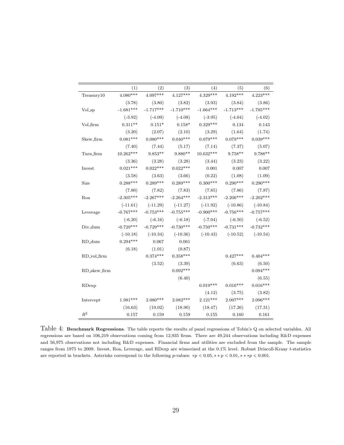|                    | (1)         | (2)         | (3)         | (4)         | (5)         | (6)         |
|--------------------|-------------|-------------|-------------|-------------|-------------|-------------|
| Treasury10         | $4.080***$  | $4.097***$  | $4.127***$  | $4.329***$  | $4.192***$  | $4.223***$  |
|                    | (3.78)      | (3.80)      | (3.82)      | (3.93)      | (3.84)      | (3.86)      |
| Vol_sp             | $-1.681***$ | $-1.717***$ | $-1.710***$ | $-1.664***$ | $-1.713***$ | $-1.705***$ |
|                    | $(-3.92)$   | $(-4.09)$   | $(-4.08)$   | $(-3.95)$   | $(-4.04)$   | $(-4.02)$   |
| Vol_firm           | $0.311**$   | $0.151*$    | $0.158*$    | $0.329***$  | 0.134       | 0.143       |
|                    | (3.20)      | (2.07)      | (2.10)      | (3.29)      | (1.64)      | (1.74)      |
| Skew_firm          | $0.081***$  | $0.080***$  | $0.040***$  | $0.079***$  | $0.079***$  | $0.039***$  |
|                    | (7.40)      | (7.44)      | (5.17)      | (7.14)      | (7.37)      | (5.07)      |
| Turn_firm          | $10.262***$ | $9.853**$   | $9.880**$   | $10.632***$ | 9.758**     | $9.788**$   |
|                    | (3.36)      | (3.28)      | (3.28)      | (3.44)      | (3.23)      | (3.22)      |
| Invest             | $0.021***$  | $0.022***$  | $0.022***$  | 0.001       | 0.007       | 0.007       |
|                    | (3.58)      | (3.63)      | (3.66)      | (0.22)      | (1.08)      | (1.09)      |
| Size               | $0.288***$  | $0.289***$  | $0.289***$  | $0.300***$  | $0.290***$  | $0.290***$  |
|                    | (7.80)      | (7.82)      | (7.83)      | (7.85)      | (7.86)      | (7.87)      |
| Roa                | $-2.305***$ | $-2.267***$ | $-2.264***$ | $-2.313***$ | $-2.206***$ | $-2.202***$ |
|                    | $(-11.61)$  | $(-11.29)$  | $(-11.27)$  | $(-11.92)$  | $(-10.86)$  | $(-10.84)$  |
| Leverage           | $-0.767***$ | $-0.753***$ | $-0.755***$ | $-0.900***$ | $-0.756***$ | $-0.757***$ |
|                    | $(-6.20)$   | $(-6.16)$   | $(-6.18)$   | $(-7.04)$   | $(-6.50)$   | $(-6.52)$   |
| Div_dum            | $-0.729***$ | $-0.729***$ | $-0.730***$ | $-0.750***$ | $-0.731***$ | $-0.732***$ |
|                    | $(-10.18)$  | $(-10.34)$  | $(-10.36)$  | $(-10.43)$  | $(-10.52)$  | $(-10.54)$  |
| RD <sub>-dum</sub> | $0.294***$  | 0.067       | 0.061       |             |             |             |
|                    | (6.18)      | (1.01)      | (0.87)      |             |             |             |
| RD_vol_firm        |             | $0.374***$  | $0.358***$  |             | $0.427***$  | $0.404***$  |
|                    |             | (3.52)      | (3.39)      |             | (6.63)      | (6.50)      |
| RD_skew_firm       |             |             | $0.092***$  |             |             | $0.094***$  |
|                    |             |             | (6.40)      |             |             | (6.55)      |
| RDexp              |             |             |             | $0.019***$  | $0.016***$  | $0.016***$  |
|                    |             |             |             | (4.12)      | (3.75)      | (3.82)      |
| Intercept          | $1.981***$  | $2.080***$  | $2.082***$  | $2.121***$  | $2.097***$  | $2.096***$  |
|                    | (16.63)     | (19.02)     | (18.90)     | (18.47)     | (17.26)     | (17.31)     |
| $R^2$              | 0.157       | 0.159       | 0.159       | 0.155       | 0.160       | 0.161       |

Table 4: Benchmark Regressions. The table reports the results of panel regressions of Tobin's Q on selected variables. All regressions are based on 106,219 observations coming from 12,935 firms. There are 49,244 observations including R&D expenses and 56,975 observations not including R&D expenses. Financial firms and utilities are excluded from the sample. The sample ranges from 1975 to 2009. Invest, Roa, Leverage, and RDexp are winsorized at the 0.1% level. Robust Driscoll-Kraay *t*-statistics are reported in brackets. Asterisks correspond to the following *p*-values:  $*p < 0.05, **p < 0.01, **p < 0.001$ .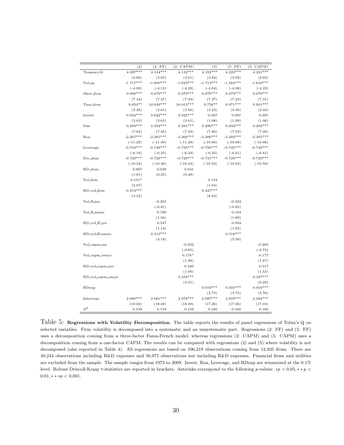|                               | (2)         | (2: FF)              | (2: CAPM)   | (5)         | (5: FF)              | (5: CAPM)   |
|-------------------------------|-------------|----------------------|-------------|-------------|----------------------|-------------|
| Treasury10                    | $4.097***$  | $4.134***$           | $4.132***$  | $4.192***$  | $4.223***$           | $4.221***$  |
|                               | (3.80)      | (3.65)               | (3.61)      | (3.84)      | (3.69)               | (3.65)      |
| Vol_sp                        | $-1.717***$ | $-1.600***$          | $-1.623***$ | $-1.713***$ | $-1.584***$          | $-1.610***$ |
|                               | $(-4.09)$   | $(-4.13)$            | $(-4.29)$   | $(-4.04)$   | $(-4.08)$            | $(-4.23)$   |
| Skew_firm                     | $0.080***$  | $0.079***$           | $0.079***$  | $0.079***$  | $0.079***$           | $0.079***$  |
|                               | (7.44)      | (7.37)               | (7.43)      | (7.37)      | (7.23)               | (7.31)      |
| Turn_firm                     | $9.853**$   | $10.036***$          | $10.013***$ | 9.758**     | $9.971***$           | $9.931***$  |
|                               | (3.28)      | (3.61)               | (3.50)      | (3.23)      | (3.56)               | (3.44)      |
| Invest                        | $0.022***$  | $0.022***$           | $0.022***$  | 0.007       | 0.007                | 0.007       |
|                               | (3.63)      | (3.63)               | (3.61)      | (1.08)      | (1.09)               | (1.06)      |
| Size                          | $0.289***$  | $0.292***$           | $0.291***$  | $0.290***$  | $0.292***$           | $0.292***$  |
|                               | (7.82)      | (7.45)               | (7.43)      | (7.86)      | (7.53)               | (7.49)      |
| Roa                           | $-2.267***$ | $-2.265***$          | $-2.266***$ | $-2.206***$ | $-2.204***$          | $-2.205***$ |
|                               | $(-11.29)$  | $(-11.30)$           | $(-11.28)$  | $(-10.86)$  | $(-10.88)$           | $(-10.86)$  |
| Leverage                      | $-0.753***$ | $-0.748***$          | $-0.750***$ | $-0.756***$ | $-0.745***$          | $-0.749***$ |
|                               | $(-6.16)$   | $(-6.23)$            | $(-6.23)$   | $(-6.50)$   | $(-6.61)$            | $(-6.61)$   |
| Div_dum                       | $-0.729***$ | $-0.728***$          | $-0.728***$ | $-0.731***$ | $-0.729***$          | $-0.729***$ |
|                               | $(-10.34)$  | $(-10.46)$           | $(-10.43)$  | $(-10.52)$  | $(-10.63)$           | $(-10.58)$  |
| RD <sub>dum</sub>             | 0.067       | 0.030                | 0.041       |             |                      |             |
|                               | (1.01)      | (0.35)               | (0.48)      |             |                      |             |
| Vol_firm                      | $0.151*$    |                      |             | 0.134       |                      |             |
|                               | (2.07)      |                      |             | (1.64)      |                      |             |
| RD <sub>-vol-firm</sub>       | $0.374***$  |                      |             | $0.427***$  |                      |             |
|                               | (3.52)      |                      |             | (6.63)      |                      |             |
| Vol_ff_sys                    |             | $-0.291$             |             |             | $-0.322$             |             |
|                               |             | $(-0.81)$            |             |             | $(-0.85)$            |             |
| Vol_ff_unsys                  |             | 0.190                |             |             | 0.194                |             |
|                               |             | (1.94)               |             |             | (1.89)               |             |
| RD_vol_ff_sys                 |             | 0.547                |             |             | 0.594                |             |
|                               |             | (1.14)<br>$0.312***$ |             |             | (1.62)<br>$0.318***$ |             |
| RD <sub>-vol-ff-unsys</sub>   |             |                      |             |             | (5.50)               |             |
| Vol_capm_sys                  |             | (4.18)               | $-0.222$    |             |                      | $-0.265$    |
|                               |             |                      | $(-0.65)$   |             |                      | $(-0.73)$   |
| Vol_capm_unsys                |             |                      | $0.176*$    |             |                      | 0.177       |
|                               |             |                      | (1.98)      |             |                      | (1.87)      |
| RD <sub>-vol-capm-sys</sub>   |             |                      | 0.440       |             |                      | 0.517       |
|                               |             |                      | (1.00)      |             |                      | (1.53)      |
| RD <sub>-vol-capm-unsys</sub> |             |                      | $0.334***$  |             |                      | $0.347***$  |
|                               |             |                      | (4.01)      |             |                      | (6.29)      |
| RDexp                         |             |                      |             | $0.016***$  | $0.016***$           | $0.016***$  |
|                               |             |                      |             | (3.75)      | (3.75)               | (3.76)      |
| Intercept                     | $2.080***$  | $2.081***$           | $2.078***$  | $2.097***$  | $2.079***$           | $2.082***$  |
|                               | (19.02)     | (18.49)              | (18.30)     | (17.26)     | (17.06)              | (17.03)     |
| $R^2$                         | 0.159       | 0.159                | 0.159       | 0.160       | 0.160                | 0.160       |
|                               |             |                      |             |             |                      |             |

Table 5: Regressions with Volatility Decomposition. The table reports the results of panel regressions of Tobin's Q on selected variables. Firm volatility is decomposed into a systematic and an unsystematic part. Regressions (2: FF) and (5: FF) uses a decomposition coming from a three-factor Fama-French model, whereas regressions (2: CAPM) and (5: CAPM) uses a decomposition coming from a one-factor CAPM. The results can be compared with regressions (2) and (5) where volatility is not decomposed (also reported in Table 4). All regressions are based on 106,219 observations coming from 12,935 firms. There are 49,244 observations including R&D expenses and 56,975 observations not including R&D expenses. Financial firms and utilities are excluded from the sample. The sample ranges from 1975 to 2009. Invest, Roa, Leverage, and RDexp are winsorized at the 0.1% level. Robust Driscoll-Kraay *t*-statistics are reported in brackets. Asterisks correspond to the following *p*-values: \* $p < 0.05$ , \*\*  $p <$  $0.01, **p < 0.001$ .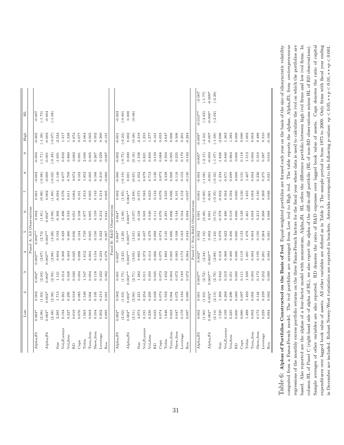| column HL of Panel C (right-hand side of alpha of HL), we also report the alpha of the diff-in-diff portfolio (HL of non-RD observations minus HL of RD observations). |
|------------------------------------------------------------------------------------------------------------------------------------------------------------------------|
|------------------------------------------------------------------------------------------------------------------------------------------------------------------------|

|                      |          |          |           |           |                           |                     | $\overline{\phantom{a}}$ | ${}^{\circ}$ | $\circ$   | High      | Ë          |                      |
|----------------------|----------|----------|-----------|-----------|---------------------------|---------------------|--------------------------|--------------|-----------|-----------|------------|----------------------|
|                      |          |          |           |           | Panel A: All Observations |                     |                          |              |           |           |            |                      |
| Alpha <sub>-f3</sub> | $0.002*$ | 0.002    | $0.002*$  | $0.002**$ | $0.002**$                 | 0.002               | 0.001                    | $-0.002$     | $-0.004$  | $-0.005$  | $-0.007$   |                      |
|                      | (2.06)   | (1.93)   | (2.03)    | (2.67)    | (2.74)                    | (1.81)              | (0.96)                   | $(-0.98)$    | $(-1.71)$ | $(-1.38)$ | $(-1.73)$  |                      |
| Alpha-ff4            | $0.002*$ | $0.002*$ | $0.002*$  | $0.002**$ | $0.003**$                 | $0.002*$            | 0.002                    | $-0.000$     | $-0.001$  | $-0.003$  | $-0.004$   |                      |
|                      | (2.48)   | (2.38)   | (2.50)    | (2.98)    | (3.28)                    | (2.09)              | (1.80)                   | $(-0.02)$    | $(-0.49)$ | $(-0.67)$ | $(-1.08)$  |                      |
| Size                 | 2.285    | 1.715    | 1.121     | 0.604     | 0.192                     | $-0.306$            |                          | $-1.148$     | $-1.691$  | $-2.524$  |            |                      |
| Vol_ff_unsys         | 0.194    | 0.261    | 0.314     | 0.368     | 0.429                     | 0.496               | 0.576                    | 0.677        | 0.832     | 1.317     |            |                      |
| Vol.firm             | 0.227    | 0.295    | 0.348     | 0.404     | 0.466                     | 0.533               | 0.611                    | 0.709        | 0.860     | 1.338     |            |                      |
| RD                   | 0.019    | 0.018    | 0.020     | 0.025     | 0.036                     | 0.051               | 0.064                    | 0.074        | 0.082     | 0.074     |            |                      |
| $_{\rm Capx}$        | 0.076    | 0.085    | 0.094     | 0.098     | 0.104                     | 0.108               | 0.101                    | 0.102        | 0.091     | 0.077     |            |                      |
| Tobin                | 1.563    | 1.546    | 1.547     | 1.612     | 1.739                     | 1.877               | 1.913                    | 1.952        | 2.040     | 2.064     |            |                      |
| Turn_firm            | 0.003    | 0.004    | 0.004     | 0.004     | 0.005                     | 0.005               | 0.005                    | 0.005        | 0.005     | 0.005     |            |                      |
| Skew_firm            | 0.104    | 0.105    | 0.118     | 0.154     | 0.150                     | 0.159               | 0.143                    | 0.166        | 0.267     | 0.502     |            |                      |
| Leverage             | 0.202    | 0.213    | 0.222     | 0.224     | 0.222                     | 0.212               | 0.214                    | 0.210        | 0.229     | 0.260     |            |                      |
| Roa                  | 0.095    | 0.091    | 0.082     | 0.079     | 0.067                     | 0.041               | 0.005                    | $-0.060$     | $-0.087$  | $-0.191$  |            |                      |
|                      |          |          |           | Panel     |                           | B: R&D Observations |                          |              |           |           |            |                      |
| Alpha.ff3            | $0.002*$ | 0.002    | 0.001     | $0.002*$  | $0.004*$                  | $0.004*$            | 0.002                    | $-0.000$     | $-0.002$  | $-0.001$  | $-0.003$   |                      |
|                      | (2.02)   | (1.63)   | (1.75)    | (2.43)    | (2.26)                    | (2.48)              | (1.65)                   | $(-0.19)$    | $-0.75$   | $(-0.24)$ | $(-0.60)$  |                      |
| $Alpha\_ff4$         | $0.002*$ | $0.002*$ | $0.002**$ | $0.003**$ | $0.005**$                 | $0.005**$           | $0.004**$                | 0.001        | 0.000     | 0.002     |            |                      |
|                      | (2.51)   | $(2.00)$ | $(2.71)$  | (3.05)    | $(3.01)$                  | (3.07)              | (2.69)                   | (0.65)       | (0.16)    | (0.48)    | (0.06)     |                      |
| Size                 | 2.973    | 2.221    | 1.482     | 0.865     | 0.361                     | $-0.128$            | $-0.575$                 | $-1.052$     | $-1.538$  | $-2.319$  |            |                      |
| Vol_ff_unsys         | 0.191    | 0.254    | 0.311     | 0.373     | 0.437                     | 0.505               | 0.583                    | 0.679        | 0.821     | 1.255     |            |                      |
| Vol.firm             | 0.230    | 0.293    | 0.350     | 0.414     | 0.479                     | 0.546               | 0.623                    | 0.712        | 0.850     | 1.277     |            |                      |
| $_{\rm RD}$          | 0.035    | 0.038    | 0.045     | 0.066     | 0.088                     | 0.111               | 0.124                    | 0.136        | 0.159     | 0.161     |            |                      |
| $_{\rm Capx}$        | 0.074    | 0.074    | 0.073     | 0.075     | 0.074                     | 0.076               | 0.076                    | 0.073        | 0.068     | 0.055     |            |                      |
| Tobin                | 1.646    | 1.592    | 1.652     | 1.883     | 2.145                     | 2.291               | 2.335                    | 2.338        | 2.504     | 2.647     |            |                      |
| Turn_firm            | 0.003    | 0.004    | 0.004     | 0.005     | 0.006                     | 0.006               | 0.006                    | 0.006        | 0.005     | 0.006     |            |                      |
| Skew_firm            | 0.047    | 0.072    | 0.072     | 0.083     | 0.108                     | 0.144               | 0.101                    | 0.116        | 0.235     | 0.506     |            |                      |
| Leverage             | 0.179    | 0.184    | 0.183     | 0.173     | 0.163                     | 0.164               | 0.152                    | 0.153        | 0.170     | 0.201     |            |                      |
| Roa                  | 0.097    | 0.090    | 0.072     | 0.064     | 0.043                     | 0.004               | $-0.037$                 | $-0.130$     | $-0.182$  | $-0.284$  |            |                      |
|                      |          |          |           |           | Panel C: Non-R&D          | Observations        |                          |              |           |           |            |                      |
| Alpha.ff3            | 0.002    | 0.001    | $0.003**$ | $0.002*$  | 0.002                     | 0.001               | $-0.001$                 | $-0.003$     | $-0.005*$ | $-0.009*$ | $-0.010**$ | $-0.007$             |
|                      | (1.90)   | (1.63)   | (2.72)    | (2.34)    | (1.16)                    | (0.48)              | $(-0.80)$                | $(-1.08)$    | $(-2.15)$ | $(-2.34)$ | $(-2.62)$  | $\left(-1.77\right)$ |
| Alpha.ff4            | $0.002*$ | $0.002*$ | $0.003**$ | $0.003**$ | 0.002                     | 0.001               | $-0.001$                 | $-0.001$     | $-0.003$  | $-0.007$  | $-0.008*$  | $-0.009*$            |
|                      | (2.14)   | (2.13)   | (2.76)    | (2.88)    | (1.24)                    | (0.73)              | $(-0.35)$                | $(-0.32)$    | $(-1.07)$ | $(-1.68)$ | $(-2.02)$  | $(-2.26)$            |
| Size                 | 1.520    | 1.268    | 0.842     | 0.418     | 0.078                     | $-0.378$            | $-0.832$                 | $-1.234$     | $-1.828$  | $-2.696$  |            |                      |
| Vol_ff_unsys         | 0.199    | 0.268    | 0.319     | 0.368     | 0.422                     | 0.486               | 0.564                    | 0.671        | 0.840     | 1.363     |            |                      |
| Vol_firm             | 0.225    | 0.299    | 0.351     | 0.400     | 0.456                     | 0.519               | 0.594                    | 0.699        | 0.864     | 1.383     |            |                      |
| RD                   | 0.000    | 0.000    | 0.000     | 0.000     | 0.000                     | 0.000               | 0.000                    | 0.000        | 0.000     | 0.000     |            |                      |
| Capx                 | 0.080    | 0.097    | 0.111     | 0.119     | 0.133                     | 0.129               | 0.130                    | 0.131        | 0.118     | 0.090     |            |                      |
| Tobin                | 1.488    | 1.492    | $1.500\,$ | 1.481     | 1.478                     | 1.461               | 1.455                    | 1.467        | 1.512     | 1.602     |            |                      |
| Turn_firm            | 0.002    | 0.003    | 0.004     | 0.004     | 0.004                     | 0.004               | 0.004                    | 0.004        | 0.004     | 0.004     |            |                      |
| Skew_firm            | 0.173    | 0.144    | 0.172     | 0.195     | 0.150                     | 0.213               | 0.140                    | 0.236        | 0.310     | 0.488     |            |                      |
| Leverage             | 0.229    | 0.239    | 0.252     | 0.261     | 0.264                     | 0.268               | 0.269                    | 0.275        | 0.287     | 0.310     |            |                      |
| Roa                  | 0.094    | 0.092    | 0.089     | 0.084     | 0.081                     | 0.068               | 0.046                    | 0.021        | 0.016     | $-0.106$  |            |                      |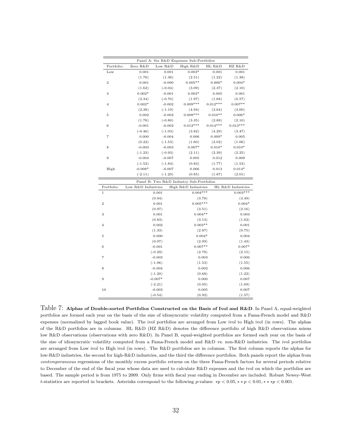|                  |                    |           | Panel A: Six R&D Expenses Sub-Portfolios |            |                   |
|------------------|--------------------|-----------|------------------------------------------|------------|-------------------|
| Portfolio:       | Zero R&D           | Low R&D   | High R&D                                 | HL R&D     | HZ R&D            |
| Low              | 0.001              | 0.001     | $0.003*$                                 | 0.001      | 0.001             |
|                  | (1.76)             | (1.36)    | (2.51)                                   | (1.22)     | (1.38)            |
| $\boldsymbol{2}$ | 0.001              | $-0.000$  | $0.005**$                                | $0.006*$   | $0.004*$          |
|                  | (1.62)             | $(-0.04)$ | (3.09)                                   | (2.37)     | (2.10)            |
| 3                | $0.002*$           | $-0.001$  | $0.003*$                                 | 0.005      | 0.001             |
|                  | (2.34)             | $(-0.70)$ | (1.97)                                   | (1.68)     | (0.57)            |
| $\overline{4}$   | $0.002*$           | $-0.002$  | $0.009***$                               | $0.012***$ | $0.007**$         |
|                  | (2.38)             | $(-1.19)$ | (4.94)                                   | (3.64)     | (3.00)            |
| 5                | 0.002              | $-0.002$  | $0.008***$                               | $0.010**$  | $0.006*$          |
|                  | (1.76)             | $(-0.80)$ | (3.35)                                   | (2.89)     | (2.10)            |
| $\,$ 6 $\,$      | $-0.001$           | $-0.002$  | $0.012***$                               | $0.014***$ | $0.013***$        |
|                  | $(-0.46)$          | $(-1.03)$ | (3.82)                                   | (4.29)     | (3.47)            |
| 7                | 0.000              | $-0.004$  | 0.006                                    | $0.009*$   | 0.005             |
|                  | (0.22)             | $(-1.53)$ | (1.60)                                   | (2.02)     | (1.06)            |
| 8                | $-0.003$           | $-0.003$  | $0.007*$                                 | $0.010*$   | $0.010*$          |
|                  | $(-1.23)$          | $(-0.93)$ | (2.11)                                   | (2.39)     | (2.25)            |
| 9                | $-0.004$           | $-0.007$  | 0.005                                    | 0.012      | 0.009             |
|                  | $(-1.52)$          | $(-1.84)$ | (0.83)                                   | (1.77)     | (1.53)            |
| High             | $-0.008*$          | $-0.007$  | 0.006                                    | 0.013      | $0.014*$          |
|                  | $(-2.11)$          | $(-1.20)$ | (0.85)                                   | (1.87)     | (2.01)            |
|                  |                    |           | Panel B: Two R&D Industry Sub-Portfolios |            |                   |
| Portfolio:       | Low R&D Industries |           | High R&D Industries                      |            | HL R&D Industries |
|                  |                    | 0.001     | $0.004***$                               |            | $0.003***$        |
|                  |                    | (0.94)    | (3.78)                                   |            | (3.49)            |
|                  |                    | 0.001     | $0.005***$                               |            | $0.004*$          |
|                  |                    | (0.97)    | (3.51)                                   |            | (2.16)            |
|                  |                    | 0.001     | $0.004**$                                |            | 0.003             |
|                  | (0.83)             |           | (3.13)                                   |            | (1.62)            |
|                  | 0.002              |           | $0.003**$                                |            | 0.001             |
|                  | (1.33)             |           | (2.87)                                   |            | (0.75)            |
|                  | 0.000              |           | $0.004*$                                 |            | 0.004             |
|                  | (0.07)             |           | (2.09)                                   |            | (1.43)            |
|                  |                    | $-0.001$  | $0.007**$                                |            | $0.007*$          |
|                  |                    | $(-0.29)$ | (2.78)                                   |            | (2.15)            |
|                  |                    | $-0.003$  | 0.003                                    |            | 0.006             |
|                  |                    | $(-1.06)$ | (1.53)                                   |            | (1.55)            |
|                  |                    | $-0.004$  | 0.002                                    |            | 0.006             |
|                  |                    | $(-1.20)$ | (0.68)                                   |            | (1.22)            |
|                  |                    | $-0.007*$ | 0.000                                    |            | 0.007             |
|                  |                    | $(-2.21)$ | (0.05)                                   |            | (1.69)            |
|                  |                    | $-0.003$  | 0.005                                    |            | 0.007             |
| 10               |                    |           |                                          |            |                   |

Table 7: Alphas of Double-sorted Portfolios Constructed on the Basis of Ivol and R&D. In Panel A, equal-weighted portfolios are formed each year on the basis of the size of idiosyncratic volatility computed from a Fama-French model and R&D expenses (normalized by lagged book value). The ivol portfolios are arranged from Low ivol to High ivol (in rows). The alphas of the R&D portfolios are in columns. HL R&D (HZ R&D) denotes the difference portfolio of high R&D observations minus low R&D observations (observations with zero R&D). In Panel B, equal-weighted portfolios are formed each year on the basis of the size of idiosyncratic volatility computed from a Fama-French model and R&D vs. non-R&D industries. The ivol portfolios are arranged from Low ivol to High ivol (in rows). The R&D portfolios are in columns. The first column reports the alphas for low-R&D industries, the second for high-R&D industries, and the third the difference portfolios. Both panels report the alphas from *contemporaneous* regressions of the monthly excess portfolio returns on the three Fama-French factors for several periods relative to December of the end of the fiscal year whose data are used to calculate R&D expenses and the ivol on which the portfolios are based. The sample period is from 1975 to 2009. Only firms with fiscal year ending in December are included. Robust Newey-West *t*-statistics are reported in brackets. Asterisks correspond to the following *p*-values:  $*p < 0.05, **p < 0.01, ***p < 0.001$ .